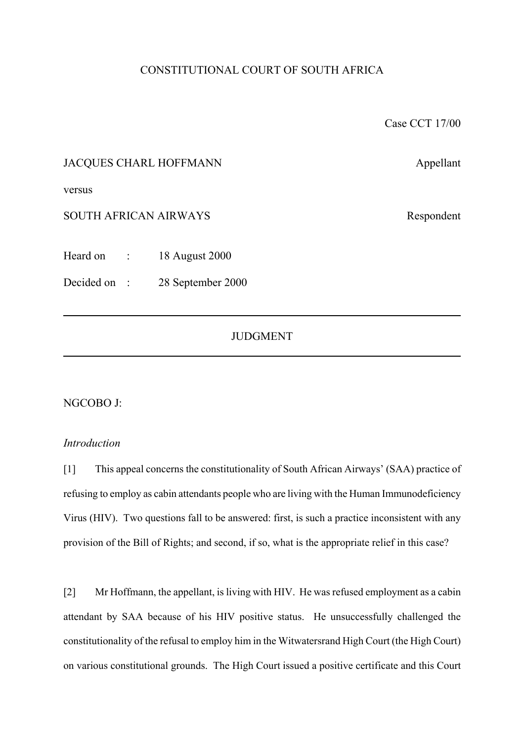# CONSTITUTIONAL COURT OF SOUTH AFRICA

Case CCT 17/00

## JACQUES CHARL HOFFMANN Appellant

versus

SOUTH AFRICAN AIRWAYS Respondent

Heard on : 18 August 2000

Decided on : 28 September 2000

## **JUDGMENT**

#### NGCOBO J:

### *Introduction*

[1] This appeal concerns the constitutionality of South African Airways' (SAA) practice of refusing to employ as cabin attendants people who are living with the Human Immunodeficiency Virus (HIV). Two questions fall to be answered: first, is such a practice inconsistent with any provision of the Bill of Rights; and second, if so, what is the appropriate relief in this case?

[2] Mr Hoffmann, the appellant, is living with HIV. He was refused employment as a cabin attendant by SAA because of his HIV positive status. He unsuccessfully challenged the constitutionality of the refusal to employ him in the Witwatersrand High Court (the High Court) on various constitutional grounds. The High Court issued a positive certificate and this Court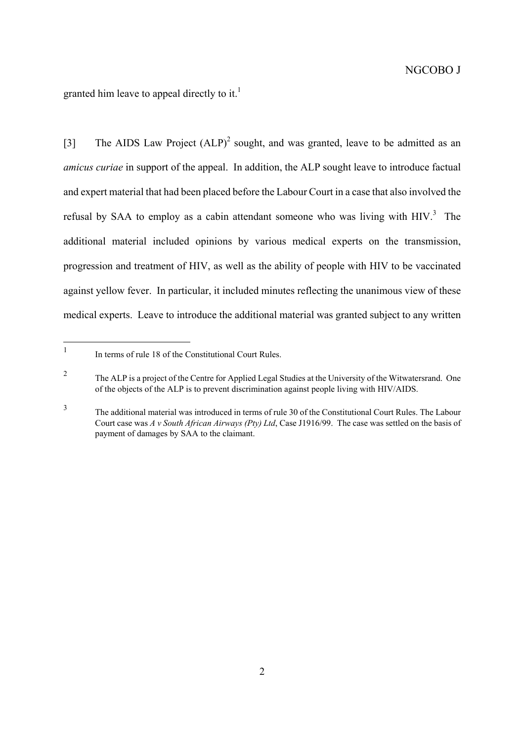granted him leave to appeal directly to it.<sup>[1](#page-1-0)</sup>

[3] The AIDS Law Project (ALP)<sup>[2](#page-1-1)</sup> sought, and was granted, leave to be admitted as an *amicus curiae* in support of the appeal. In addition, the ALP sought leave to introduce factual and expert material that had been placed before the Labour Court in a case that also involved the refusal by SAA to employ as a cabin attendant someone who was living with  $HIV<sup>3</sup>$  $HIV<sup>3</sup>$  $HIV<sup>3</sup>$ . The additional material included opinions by various medical experts on the transmission, progression and treatment of HIV, as well as the ability of people with HIV to be vaccinated against yellow fever. In particular, it included minutes reflecting the unanimous view of these medical experts. Leave to introduce the additional material was granted subject to any written

<span id="page-1-0"></span> $\mathbf{1}$ In terms of rule 18 of the Constitutional Court Rules.

<span id="page-1-1"></span><sup>&</sup>lt;sup>2</sup> The ALP is a project of the Centre for Applied Legal Studies at the University of the Witwatersrand. One of the objects of the ALP is to prevent discrimination against people living with HIV/AIDS.

<span id="page-1-2"></span><sup>3</sup> The additional material was introduced in terms of rule 30 of the Constitutional Court Rules. The Labour Court case was *A v South African Airways (Pty) Ltd*, Case J1916/99. The case was settled on the basis of payment of damages by SAA to the claimant.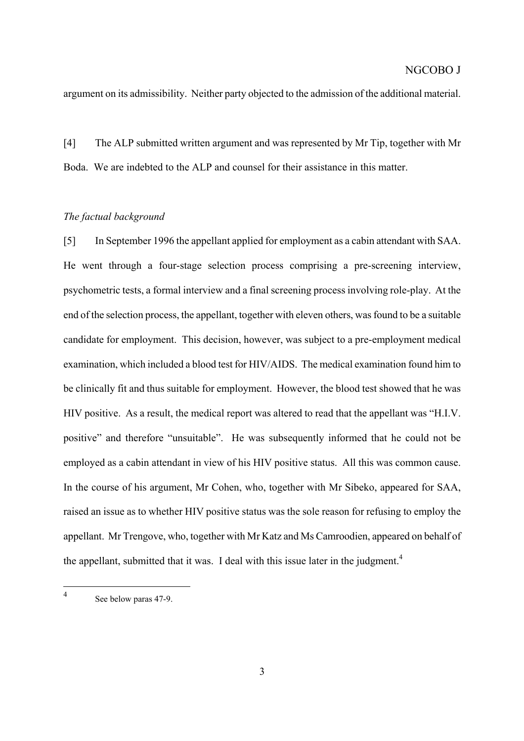argument on its admissibility. Neither party objected to the admission of the additional material.

[4] The ALP submitted written argument and was represented by Mr Tip, together with Mr Boda. We are indebted to the ALP and counsel for their assistance in this matter.

#### *The factual background*

[5] In September 1996 the appellant applied for employment as a cabin attendant with SAA. He went through a four-stage selection process comprising a pre-screening interview, psychometric tests, a formal interview and a final screening process involving role-play. At the end of the selection process, the appellant, together with eleven others, was found to be a suitable candidate for employment. This decision, however, was subject to a pre-employment medical examination, which included a blood test for HIV/AIDS. The medical examination found him to be clinically fit and thus suitable for employment. However, the blood test showed that he was HIV positive. As a result, the medical report was altered to read that the appellant was "H.I.V. positive" and therefore "unsuitable". He was subsequently informed that he could not be employed as a cabin attendant in view of his HIV positive status. All this was common cause. In the course of his argument, Mr Cohen, who, together with Mr Sibeko, appeared for SAA, raised an issue as to whether HIV positive status was the sole reason for refusing to employ the appellant. Mr Trengove, who, together with Mr Katz and Ms Camroodien, appeared on behalf of the appellant, submitted that it was. I deal with this issue later in the judgment.<sup>4</sup>

<span id="page-2-0"></span> $\overline{4}$ See below paras 47-9.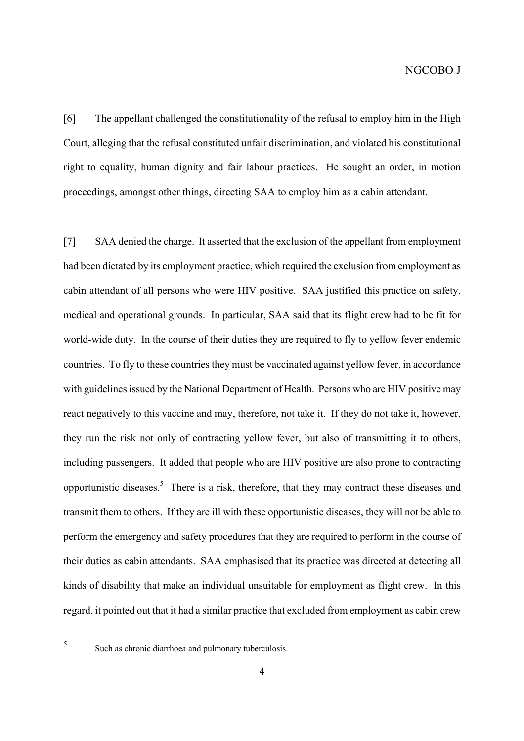[6] The appellant challenged the constitutionality of the refusal to employ him in the High Court, alleging that the refusal constituted unfair discrimination, and violated his constitutional right to equality, human dignity and fair labour practices. He sought an order, in motion proceedings, amongst other things, directing SAA to employ him as a cabin attendant.

[7] SAA denied the charge. It asserted that the exclusion of the appellant from employment had been dictated by its employment practice, which required the exclusion from employment as cabin attendant of all persons who were HIV positive. SAA justified this practice on safety, medical and operational grounds. In particular, SAA said that its flight crew had to be fit for world-wide duty. In the course of their duties they are required to fly to yellow fever endemic countries. To fly to these countries they must be vaccinated against yellow fever, in accordance with guidelines issued by the National Department of Health. Persons who are HIV positive may react negatively to this vaccine and may, therefore, not take it. If they do not take it, however, they run the risk not only of contracting yellow fever, but also of transmitting it to others, including passengers. It added that people who are HIV positive are also prone to contracting opportunistic diseases.<sup>[5](#page-3-0)</sup> There is a risk, therefore, that they may contract these diseases and transmit them to others. If they are ill with these opportunistic diseases, they will not be able to perform the emergency and safety procedures that they are required to perform in the course of their duties as cabin attendants. SAA emphasised that its practice was directed at detecting all kinds of disability that make an individual unsuitable for employment as flight crew. In this regard, it pointed out that it had a similar practice that excluded from employment as cabin crew

<span id="page-3-0"></span> $\overline{\mathbf{5}}$ 

Such as chronic diarrhoea and pulmonary tuberculosis.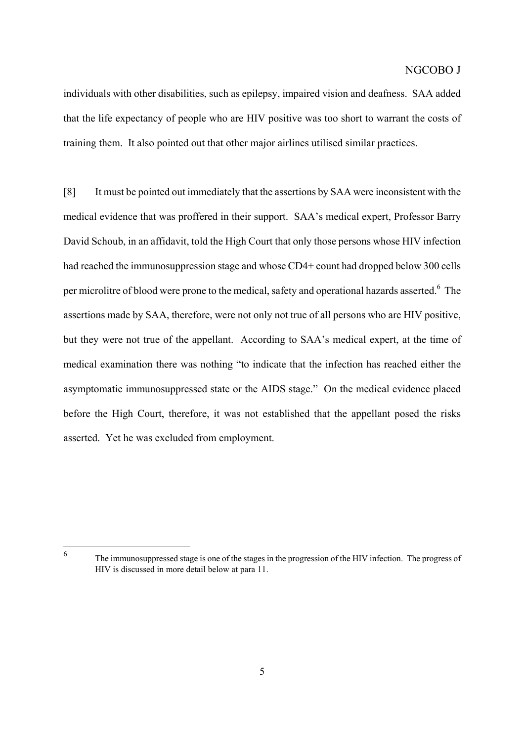individuals with other disabilities, such as epilepsy, impaired vision and deafness. SAA added that the life expectancy of people who are HIV positive was too short to warrant the costs of training them. It also pointed out that other major airlines utilised similar practices.

[8] It must be pointed out immediately that the assertions by SAA were inconsistent with the medical evidence that was proffered in their support. SAA's medical expert, Professor Barry David Schoub, in an affidavit, told the High Court that only those persons whose HIV infection had reached the immunosuppression stage and whose CD4+ count had dropped below 300 cells per microlitre of blood were prone to the medical, safety and operational hazards asserted.<sup>6</sup> The assertions made by SAA, therefore, were not only not true of all persons who are HIV positive, but they were not true of the appellant. According to SAA's medical expert, at the time of medical examination there was nothing "to indicate that the infection has reached either the asymptomatic immunosuppressed state or the AIDS stage." On the medical evidence placed before the High Court, therefore, it was not established that the appellant posed the risks asserted. Yet he was excluded from employment.

<span id="page-4-0"></span> $\overline{6}$ 

<sup>6</sup> The immunosuppressed stage is one of the stages in the progression of the HIV infection. The progress of HIV is discussed in more detail below at para 11.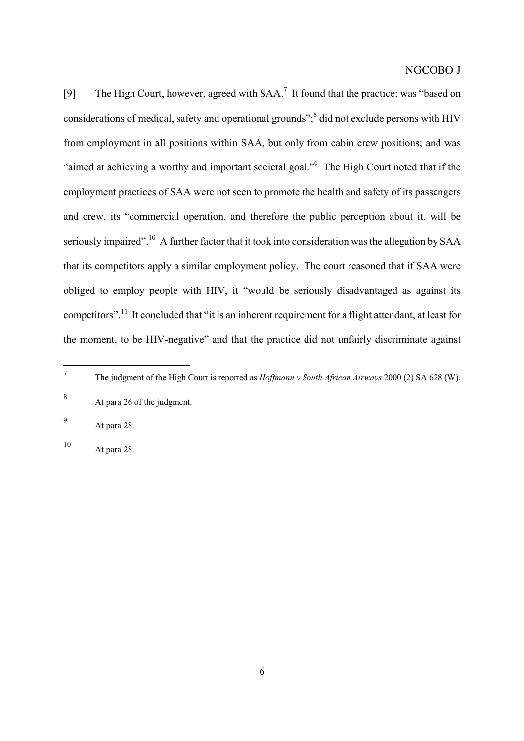[9] The High Court, however, agreed with SAA.<sup>7</sup> It found that the practice: was "based on considerations of medical, safety and operational grounds",<sup>[8](#page-5-1)</sup> did not exclude persons with HIV from employment in all positions within SAA, but only from cabin crew positions; and was "aimed at achieving a worthy and important societal goal."<sup>9</sup> The High Court noted that if the employment practices of SAA were not seen to promote the health and safety of its passengers and crew, its "commercial operation, and therefore the public perception about it, will be seriously impaired".<sup>10</sup> A further factor that it took into consideration was the allegation by SAA that its competitors apply a similar employment policy. The court reasoned that if SAA were obliged to employ people with HIV, it "would be seriously disadvantaged as against its competitors".<sup>11</sup> It concluded that "it is an inherent requirement for a flight attendant, at least for the moment, to be HIV-negative" and that the practice did not unfairly discriminate against

<span id="page-5-3"></span><sup>10</sup> At para 28.

<span id="page-5-4"></span><span id="page-5-0"></span> $\overline{7}$ <sup>7</sup> The judgment of the High Court is reported as *Hoffmann v South African Airways* 2000 (2) SA 628 (W).

<span id="page-5-1"></span><sup>8</sup> At para 26 of the judgment.

<span id="page-5-2"></span><sup>9</sup> At para 28.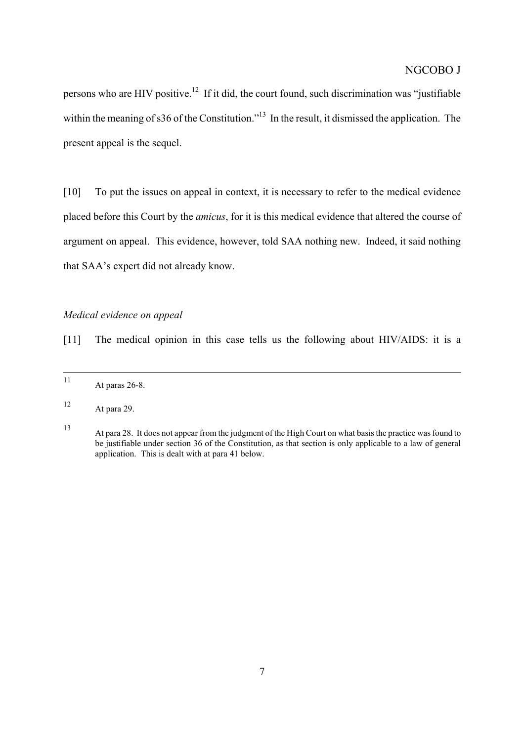persons who are HIV positive.[12](#page-6-0) If it did, the court found, such discrimination was "justifiable within the meaning of s36 of the Constitution."<sup>13</sup> In the result, it dismissed the application. The present appeal is the sequel.

[10] To put the issues on appeal in context, it is necessary to refer to the medical evidence placed before this Court by the *amicus*, for it is this medical evidence that altered the course of argument on appeal. This evidence, however, told SAA nothing new. Indeed, it said nothing that SAA's expert did not already know.

### *Medical evidence on appeal*

[11] The medical opinion in this case tells us the following about HIV/AIDS: it is a

 <sup>11</sup> At paras 26-8.

<span id="page-6-0"></span><sup>12</sup> At para 29.

<span id="page-6-1"></span><sup>13</sup> At para 28. It does not appear from the judgment of the High Court on what basis the practice was found to be justifiable under section 36 of the Constitution, as that section is only applicable to a law of general application. This is dealt with at para 41 below.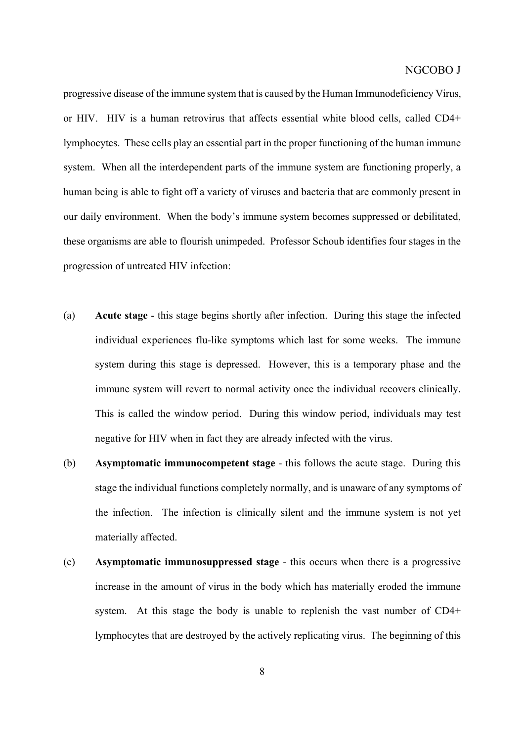progressive disease of the immune system that is caused by the Human Immunodeficiency Virus, or HIV. HIV is a human retrovirus that affects essential white blood cells, called CD4+ lymphocytes. These cells play an essential part in the proper functioning of the human immune system. When all the interdependent parts of the immune system are functioning properly, a human being is able to fight off a variety of viruses and bacteria that are commonly present in our daily environment. When the body's immune system becomes suppressed or debilitated, these organisms are able to flourish unimpeded. Professor Schoub identifies four stages in the progression of untreated HIV infection:

- (a) **Acute stage** this stage begins shortly after infection. During this stage the infected individual experiences flu-like symptoms which last for some weeks. The immune system during this stage is depressed. However, this is a temporary phase and the immune system will revert to normal activity once the individual recovers clinically. This is called the window period. During this window period, individuals may test negative for HIV when in fact they are already infected with the virus.
- (b) **Asymptomatic immunocompetent stage** this follows the acute stage. During this stage the individual functions completely normally, and is unaware of any symptoms of the infection. The infection is clinically silent and the immune system is not yet materially affected.
- (c) **Asymptomatic immunosuppressed stage** this occurs when there is a progressive increase in the amount of virus in the body which has materially eroded the immune system. At this stage the body is unable to replenish the vast number of CD4+ lymphocytes that are destroyed by the actively replicating virus. The beginning of this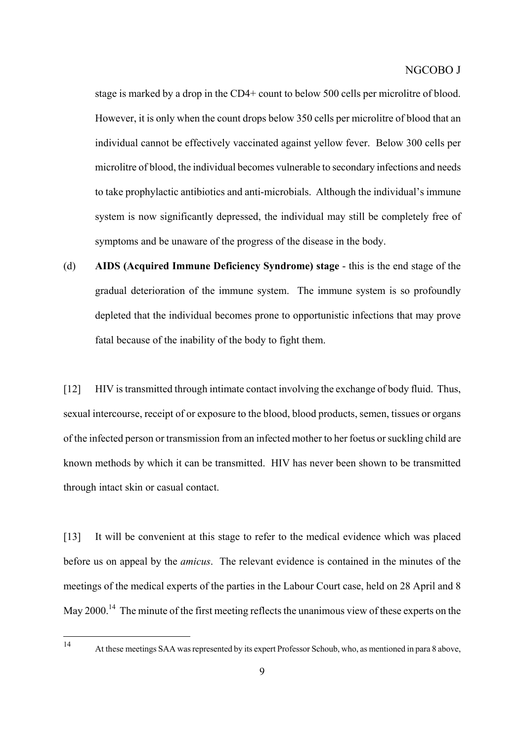stage is marked by a drop in the CD4+ count to below 500 cells per microlitre of blood. However, it is only when the count drops below 350 cells per microlitre of blood that an individual cannot be effectively vaccinated against yellow fever. Below 300 cells per microlitre of blood, the individual becomes vulnerable to secondary infections and needs to take prophylactic antibiotics and anti-microbials. Although the individual's immune system is now significantly depressed, the individual may still be completely free of symptoms and be unaware of the progress of the disease in the body.

(d) **AIDS (Acquired Immune Deficiency Syndrome) stage** - this is the end stage of the gradual deterioration of the immune system. The immune system is so profoundly depleted that the individual becomes prone to opportunistic infections that may prove fatal because of the inability of the body to fight them.

[12] HIV is transmitted through intimate contact involving the exchange of body fluid. Thus, sexual intercourse, receipt of or exposure to the blood, blood products, semen, tissues or organs of the infected person or transmission from an infected mother to her foetus or suckling child are known methods by which it can be transmitted. HIV has never been shown to be transmitted through intact skin or casual contact.

[13] It will be convenient at this stage to refer to the medical evidence which was placed before us on appeal by the *amicus*. The relevant evidence is contained in the minutes of the meetings of the medical experts of the parties in the Labour Court case, held on 28 April and 8 May 2000.<sup>14</sup> The minute of the first meeting reflects the unanimous view of these experts on the

<span id="page-8-0"></span> $14$ 

<sup>14</sup> At these meetings SAA was represented by its expert Professor Schoub, who, as mentioned in para 8 above,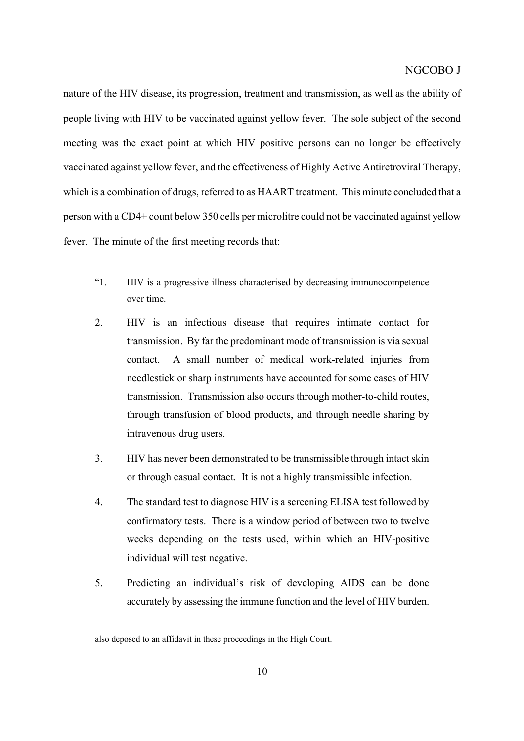nature of the HIV disease, its progression, treatment and transmission, as well as the ability of people living with HIV to be vaccinated against yellow fever. The sole subject of the second meeting was the exact point at which HIV positive persons can no longer be effectively vaccinated against yellow fever, and the effectiveness of Highly Active Antiretroviral Therapy, which is a combination of drugs, referred to as HAART treatment. This minute concluded that a person with a CD4+ count below 350 cells per microlitre could not be vaccinated against yellow fever. The minute of the first meeting records that:

- "1. HIV is a progressive illness characterised by decreasing immunocompetence over time.
- 2. HIV is an infectious disease that requires intimate contact for transmission. By far the predominant mode of transmission is via sexual contact. A small number of medical work-related injuries from needlestick or sharp instruments have accounted for some cases of HIV transmission. Transmission also occurs through mother-to-child routes, through transfusion of blood products, and through needle sharing by intravenous drug users.
- 3. HIV has never been demonstrated to be transmissible through intact skin or through casual contact. It is not a highly transmissible infection.
- 4. The standard test to diagnose HIV is a screening ELISA test followed by confirmatory tests. There is a window period of between two to twelve weeks depending on the tests used, within which an HIV-positive individual will test negative.
- 5. Predicting an individual's risk of developing AIDS can be done accurately by assessing the immune function and the level of HIV burden.

 $\overline{a}$ 

also deposed to an affidavit in these proceedings in the High Court.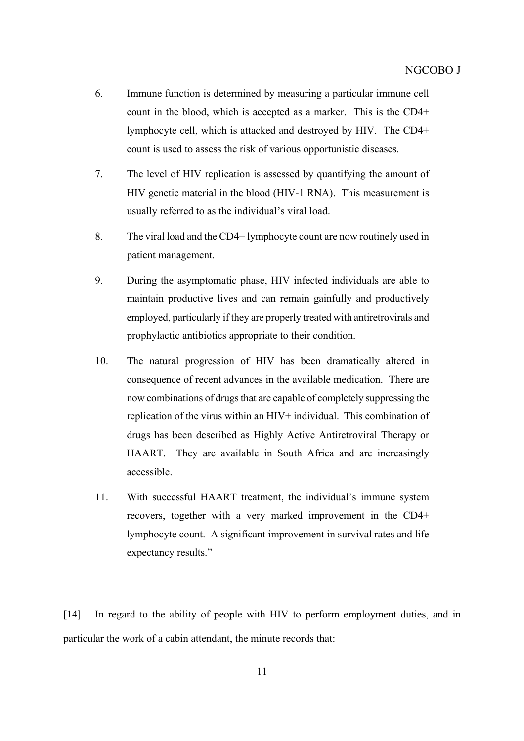- 6. Immune function is determined by measuring a particular immune cell count in the blood, which is accepted as a marker. This is the CD4+ lymphocyte cell, which is attacked and destroyed by HIV. The CD4+ count is used to assess the risk of various opportunistic diseases.
- 7. The level of HIV replication is assessed by quantifying the amount of HIV genetic material in the blood (HIV-1 RNA). This measurement is usually referred to as the individual's viral load.
- 8. The viral load and the CD4+ lymphocyte count are now routinely used in patient management.
- 9. During the asymptomatic phase, HIV infected individuals are able to maintain productive lives and can remain gainfully and productively employed, particularly if they are properly treated with antiretrovirals and prophylactic antibiotics appropriate to their condition.
- 10. The natural progression of HIV has been dramatically altered in consequence of recent advances in the available medication. There are now combinations of drugs that are capable of completely suppressing the replication of the virus within an HIV+ individual. This combination of drugs has been described as Highly Active Antiretroviral Therapy or HAART. They are available in South Africa and are increasingly accessible.
- 11. With successful HAART treatment, the individual's immune system recovers, together with a very marked improvement in the CD4+ lymphocyte count. A significant improvement in survival rates and life expectancy results."

[14] In regard to the ability of people with HIV to perform employment duties, and in particular the work of a cabin attendant, the minute records that: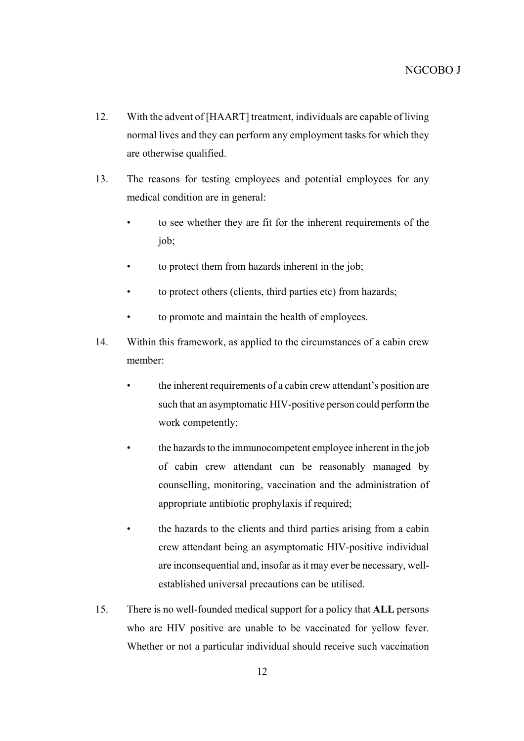- 12. With the advent of [HAART] treatment, individuals are capable of living normal lives and they can perform any employment tasks for which they are otherwise qualified.
- 13. The reasons for testing employees and potential employees for any medical condition are in general:
	- to see whether they are fit for the inherent requirements of the job;
	- to protect them from hazards inherent in the job;
	- to protect others (clients, third parties etc) from hazards;
	- to promote and maintain the health of employees.
- 14. Within this framework, as applied to the circumstances of a cabin crew member:
	- the inherent requirements of a cabin crew attendant's position are such that an asymptomatic HIV-positive person could perform the work competently;
	- the hazards to the immunocompetent employee inherent in the job of cabin crew attendant can be reasonably managed by counselling, monitoring, vaccination and the administration of appropriate antibiotic prophylaxis if required;
	- the hazards to the clients and third parties arising from a cabin crew attendant being an asymptomatic HIV-positive individual are inconsequential and, insofar as it may ever be necessary, wellestablished universal precautions can be utilised.
- 15. There is no well-founded medical support for a policy that **ALL** persons who are HIV positive are unable to be vaccinated for yellow fever. Whether or not a particular individual should receive such vaccination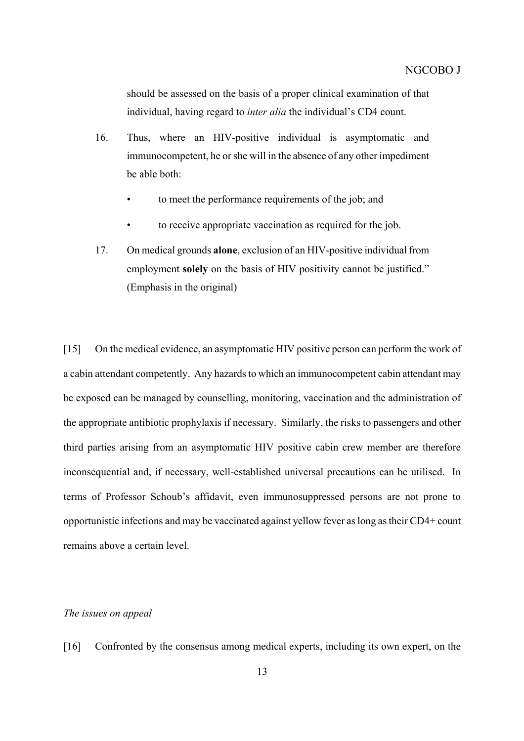should be assessed on the basis of a proper clinical examination of that individual, having regard to *inter alia* the individual's CD4 count.

- 16. Thus, where an HIV-positive individual is asymptomatic and immunocompetent, he or she will in the absence of any other impediment be able both:
	- to meet the performance requirements of the job; and
	- to receive appropriate vaccination as required for the job.
- 17. On medical grounds **alone**, exclusion of an HIV-positive individual from employment **solely** on the basis of HIV positivity cannot be justified." (Emphasis in the original)

[15] On the medical evidence, an asymptomatic HIV positive person can perform the work of a cabin attendant competently. Any hazards to which an immunocompetent cabin attendant may be exposed can be managed by counselling, monitoring, vaccination and the administration of the appropriate antibiotic prophylaxis if necessary. Similarly, the risks to passengers and other third parties arising from an asymptomatic HIV positive cabin crew member are therefore inconsequential and, if necessary, well-established universal precautions can be utilised. In terms of Professor Schoub's affidavit, even immunosuppressed persons are not prone to opportunistic infections and may be vaccinated against yellow fever as long as their CD4+ count remains above a certain level.

### *The issues on appeal*

[16] Confronted by the consensus among medical experts, including its own expert, on the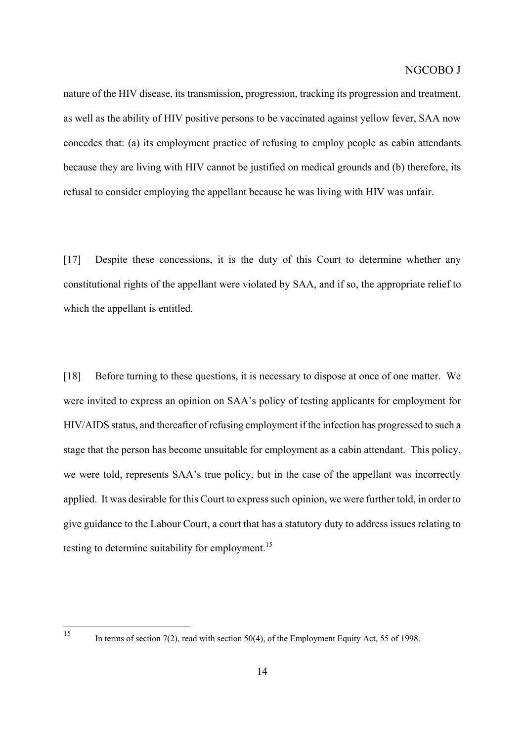nature of the HIV disease, its transmission, progression, tracking its progression and treatment, as well as the ability of HIV positive persons to be vaccinated against yellow fever, SAA now concedes that: (a) its employment practice of refusing to employ people as cabin attendants because they are living with HIV cannot be justified on medical grounds and (b) therefore, its refusal to consider employing the appellant because he was living with HIV was unfair.

[17] Despite these concessions, it is the duty of this Court to determine whether any constitutional rights of the appellant were violated by SAA, and if so, the appropriate relief to which the appellant is entitled.

[18] Before turning to these questions, it is necessary to dispose at once of one matter. We were invited to express an opinion on SAA's policy of testing applicants for employment for HIV/AIDS status, and thereafter of refusing employment if the infection has progressed to such a stage that the person has become unsuitable for employment as a cabin attendant. This policy, we were told, represents SAA's true policy, but in the case of the appellant was incorrectly applied. It was desirable for this Court to express such opinion, we were further told, in order to give guidance to the Labour Court, a court that has a statutory duty to address issues relating to testing to determine suitability for employment.<sup>15</sup>

<span id="page-13-0"></span> $15$ 

In terms of section 7(2), read with section 50(4), of the Employment Equity Act, 55 of 1998.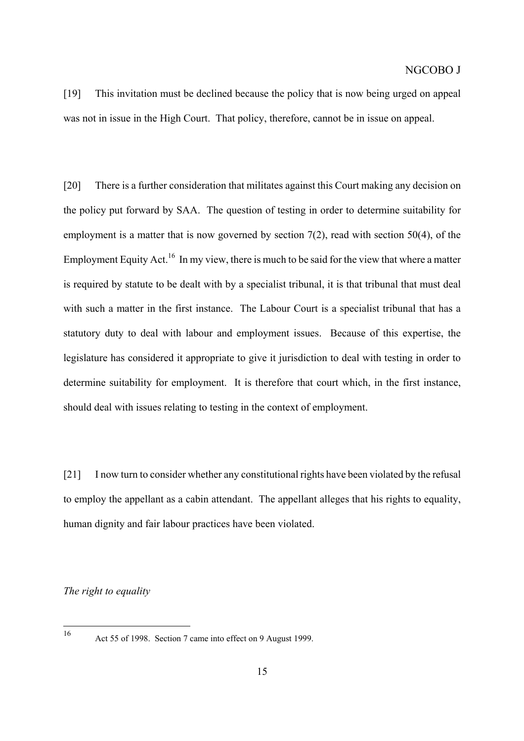[19] This invitation must be declined because the policy that is now being urged on appeal was not in issue in the High Court. That policy, therefore, cannot be in issue on appeal.

[20] There is a further consideration that militates against this Court making any decision on the policy put forward by SAA. The question of testing in order to determine suitability for employment is a matter that is now governed by section 7(2), read with section 50(4), of the Employment Equity Act.<sup>16</sup> In my view, there is much to be said for the view that where a matter is required by statute to be dealt with by a specialist tribunal, it is that tribunal that must deal with such a matter in the first instance. The Labour Court is a specialist tribunal that has a statutory duty to deal with labour and employment issues. Because of this expertise, the legislature has considered it appropriate to give it jurisdiction to deal with testing in order to determine suitability for employment. It is therefore that court which, in the first instance, should deal with issues relating to testing in the context of employment.

[21] I now turn to consider whether any constitutional rights have been violated by the refusal to employ the appellant as a cabin attendant. The appellant alleges that his rights to equality, human dignity and fair labour practices have been violated.

*The right to equality*

<span id="page-14-0"></span><sup>16</sup> 

Act 55 of 1998. Section 7 came into effect on 9 August 1999.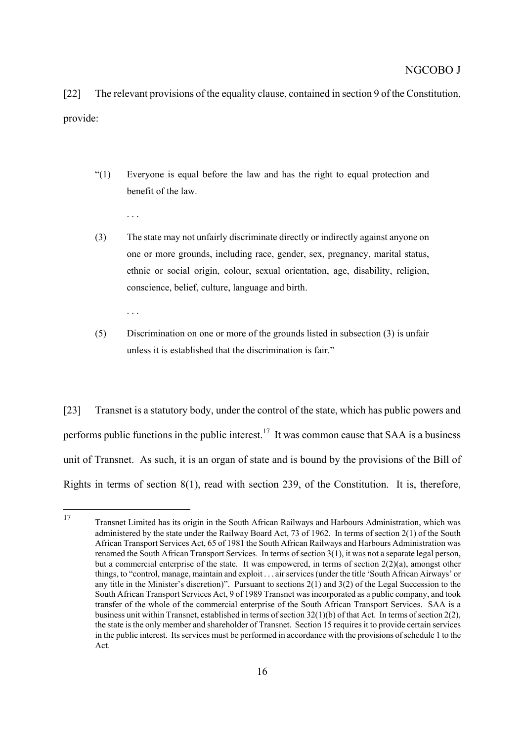[22] The relevant provisions of the equality clause, contained in section 9 of the Constitution, provide:

"(1) Everyone is equal before the law and has the right to equal protection and benefit of the law.

. . .

. . .

- (3) The state may not unfairly discriminate directly or indirectly against anyone on one or more grounds, including race, gender, sex, pregnancy, marital status, ethnic or social origin, colour, sexual orientation, age, disability, religion, conscience, belief, culture, language and birth.
- (5) Discrimination on one or more of the grounds listed in subsection (3) is unfair unless it is established that the discrimination is fair."

[23] Transnet is a statutory body, under the control of the state, which has public powers and performs public functions in the public interest.<sup>17</sup> It was common cause that SAA is a business unit of Transnet. As such, it is an organ of state and is bound by the provisions of the Bill of Rights in terms of section 8(1), read with section 239, of the Constitution. It is, therefore,

<span id="page-15-0"></span> $17$ <sup>17</sup> Transnet Limited has its origin in the South African Railways and Harbours Administration, which was administered by the state under the Railway Board Act, 73 of 1962. In terms of section 2(1) of the South African Transport Services Act, 65 of 1981 the South African Railways and Harbours Administration was renamed the South African Transport Services. In terms of section 3(1), it was not a separate legal person, but a commercial enterprise of the state. It was empowered, in terms of section  $2(2)(a)$ , amongst other things, to "control, manage, maintain and exploit . . . air services (under the title 'South African Airways' or any title in the Minister's discretion)". Pursuant to sections 2(1) and 3(2) of the Legal Succession to the South African Transport Services Act, 9 of 1989 Transnet was incorporated as a public company, and took transfer of the whole of the commercial enterprise of the South African Transport Services. SAA is a business unit within Transnet, established in terms of section 32(1)(b) of that Act. In terms ofsection 2(2), the state is the only member and shareholder of Transnet. Section 15 requires it to provide certain services in the public interest. Its services must be performed in accordance with the provisions ofschedule 1 to the Act.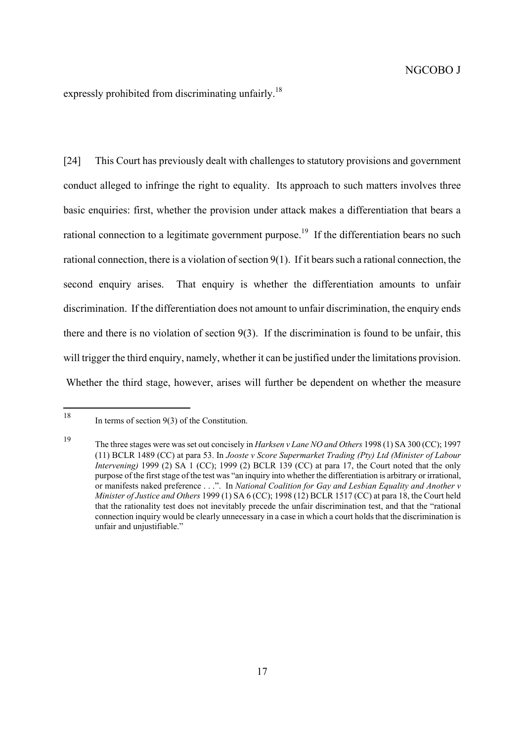expressly prohibited from discriminating unfairly.<sup>[18](#page-16-0)</sup>

[24] This Court has previously dealt with challenges to statutory provisions and government conduct alleged to infringe the right to equality. Its approach to such matters involves three basic enquiries: first, whether the provision under attack makes a differentiation that bears a rational connection to a legitimate government purpose.<sup>19</sup> If the differentiation bears no such rational connection, there is a violation of section 9(1). If it bears such a rational connection, the second enquiry arises. That enquiry is whether the differentiation amounts to unfair discrimination. If the differentiation does not amount to unfair discrimination, the enquiry ends there and there is no violation of section 9(3). If the discrimination is found to be unfair, this will trigger the third enquiry, namely, whether it can be justified under the limitations provision. Whether the third stage, however, arises will further be dependent on whether the measure

<span id="page-16-0"></span><sup>18</sup> In terms of section  $9(3)$  of the Constitution.

<span id="page-16-1"></span><sup>19</sup> The three stages were was set out concisely in *Harksen v Lane NO and Others* 1998 (1) SA 300 (CC); 1997 (11) BCLR 1489 (CC) at para 53. In *Jooste v Score Supermarket Trading (Pty) Ltd (Minister of Labour Intervening*) 1999 (2) SA 1 (CC); 1999 (2) BCLR 139 (CC) at para 17, the Court noted that the only purpose of the first stage of the test was "an inquiry into whether the differentiation is arbitrary or irrational, or manifests naked preference . . .". In *National Coalition for Gay and Lesbian Equality and Another v Minister of Justice and Others* 1999 (1) SA 6 (CC); 1998 (12) BCLR 1517 (CC) at para 18, the Court held that the rationality test does not inevitably precede the unfair discrimination test, and that the "rational connection inquiry would be clearly unnecessary in a case in which a court holds that the discrimination is unfair and unjustifiable."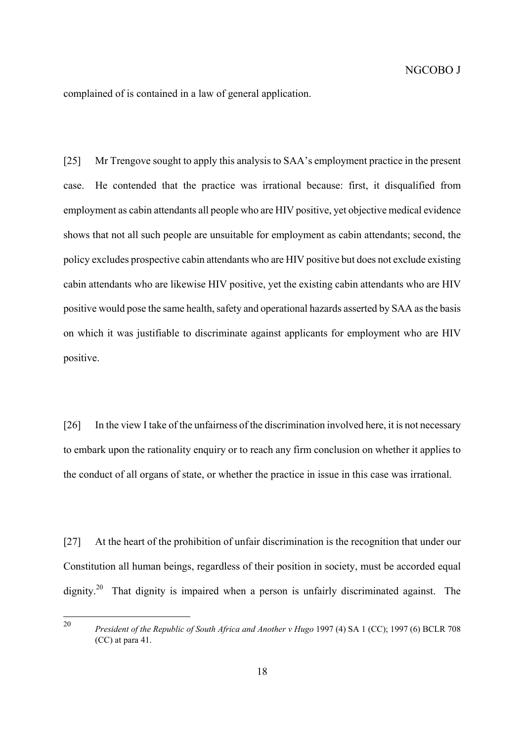complained of is contained in a law of general application.

[25] Mr Trengove sought to apply this analysis to SAA's employment practice in the present case. He contended that the practice was irrational because: first, it disqualified from employment as cabin attendants all people who are HIV positive, yet objective medical evidence shows that not all such people are unsuitable for employment as cabin attendants; second, the policy excludes prospective cabin attendants who are HIV positive but does not exclude existing cabin attendants who are likewise HIV positive, yet the existing cabin attendants who are HIV positive would pose the same health, safety and operational hazards asserted by SAA as the basis on which it was justifiable to discriminate against applicants for employment who are HIV positive.

[26] In the view I take of the unfairness of the discrimination involved here, it is not necessary to embark upon the rationality enquiry or to reach any firm conclusion on whether it applies to the conduct of all organs of state, or whether the practice in issue in this case was irrational.

[27] At the heart of the prohibition of unfair discrimination is the recognition that under our Constitution all human beings, regardless of their position in society, must be accorded equal dignity.<sup>20</sup> That dignity is impaired when a person is unfairly discriminated against. The

<span id="page-17-0"></span><sup>20</sup> <sup>20</sup> *President of the Republic of South Africa and Another v Hugo* 1997 (4) SA 1 (CC); 1997 (6) BCLR 708 (CC) at para 41.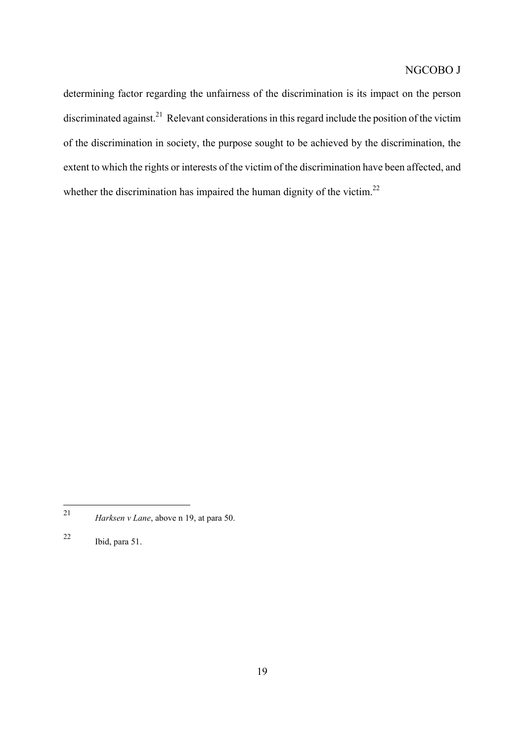determining factor regarding the unfairness of the discrimination is its impact on the person discriminated against.<sup>21</sup> Relevant considerations in this regard include the position of the victim of the discrimination in society, the purpose sought to be achieved by the discrimination, the extent to which the rights or interests of the victim of the discrimination have been affected, and whether the discrimination has impaired the human dignity of the victim.<sup>[22](#page-18-1)</sup>

<span id="page-18-0"></span> $21$ *Harksen v Lane*, above n 19, at para 50.

<span id="page-18-1"></span><sup>22</sup> Ibid, para 51.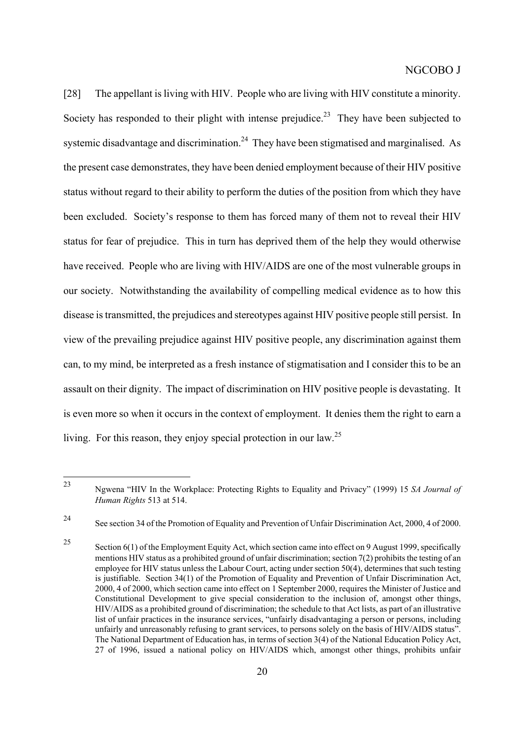[28] The appellant is living with HIV. People who are living with HIV constitute a minority. Society has responded to their plight with intense prejudice.<sup>23</sup> They have been subjected to systemic disadvantage and discrimination.<sup>24</sup> They have been stigmatised and marginalised. As the present case demonstrates, they have been denied employment because of their HIV positive status without regard to their ability to perform the duties of the position from which they have been excluded. Society's response to them has forced many of them not to reveal their HIV status for fear of prejudice. This in turn has deprived them of the help they would otherwise have received. People who are living with HIV/AIDS are one of the most vulnerable groups in our society. Notwithstanding the availability of compelling medical evidence as to how this disease is transmitted, the prejudices and stereotypes against HIV positive people still persist. In view of the prevailing prejudice against HIV positive people, any discrimination against them can, to my mind, be interpreted as a fresh instance of stigmatisation and I consider this to be an assault on their dignity. The impact of discrimination on HIV positive people is devastating. It is even more so when it occurs in the context of employment. It denies them the right to earn a living. For this reason, they enjoy special protection in our law.<sup>[25](#page-19-2)</sup>

<span id="page-19-0"></span><sup>23</sup> <sup>23</sup> Ngwena "HIV In the Workplace: Protecting Rights to Equality and Privacy" (1999) 15 *SA Journal of Human Rights* 513 at 514.

<span id="page-19-1"></span><sup>24</sup> See section 34 of the Promotion of Equality and Prevention of Unfair Discrimination Act, 2000, 4 of 2000.

<span id="page-19-2"></span><sup>&</sup>lt;sup>25</sup> Section 6(1) of the Employment Equity Act, which section came into effect on 9 August 1999, specifically mentions HIV status as a prohibited ground of unfair discrimination; section  $7(2)$  prohibits the testing of an employee for HIV status unless the Labour Court, acting under section 50(4), determines that such testing is justifiable. Section 34(1) of the Promotion of Equality and Prevention of Unfair Discrimination Act, 2000, 4 of 2000, which section came into effect on 1 September 2000, requires the Minister of Justice and Constitutional Development to give special consideration to the inclusion of, amongst other things, HIV/AIDS as a prohibited ground of discrimination; the schedule to that Act lists, as part of an illustrative list of unfair practices in the insurance services, "unfairly disadvantaging a person or persons, including unfairly and unreasonably refusing to grant services, to persons solely on the basis of HIV/AIDS status". The National Department of Education has, in terms of section 3(4) of the National Education Policy Act, 27 of 1996, issued a national policy on HIV/AIDS which, amongst other things, prohibits unfair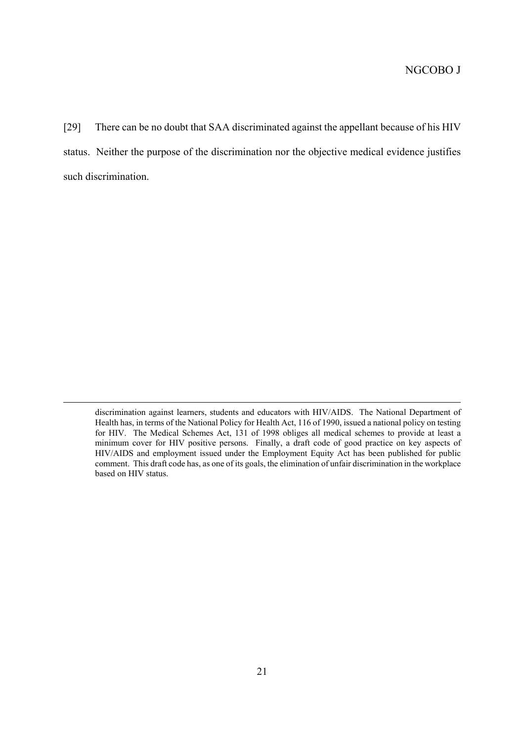[29] There can be no doubt that SAA discriminated against the appellant because of his HIV status. Neither the purpose of the discrimination nor the objective medical evidence justifies such discrimination.

 $\overline{a}$ 

discrimination against learners, students and educators with HIV/AIDS. The National Department of Health has, in terms of the National Policy for Health Act, 116 of 1990, issued a national policy on testing for HIV. The Medical Schemes Act, 131 of 1998 obliges all medical schemes to provide at least a minimum cover for HIV positive persons. Finally, a draft code of good practice on key aspects of HIV/AIDS and employment issued under the Employment Equity Act has been published for public comment. This draft code has, as one of its goals, the elimination of unfair discrimination in the workplace based on HIV status.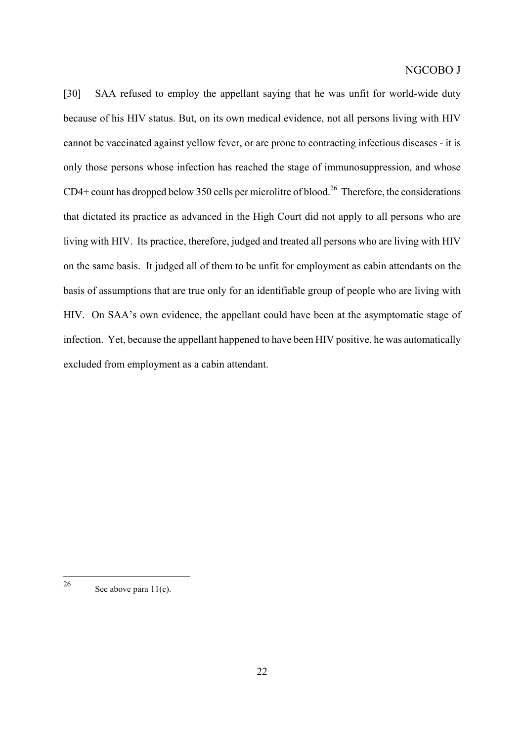[30] SAA refused to employ the appellant saying that he was unfit for world-wide duty because of his HIV status. But, on its own medical evidence, not all persons living with HIV cannot be vaccinated against yellow fever, or are prone to contracting infectious diseases - it is only those persons whose infection has reached the stage of immunosuppression, and whose  $CD4+$  count has dropped below 350 cells per microlitre of blood.<sup>26</sup> Therefore, the considerations that dictated its practice as advanced in the High Court did not apply to all persons who are living with HIV. Its practice, therefore, judged and treated all persons who are living with HIV on the same basis. It judged all of them to be unfit for employment as cabin attendants on the basis of assumptions that are true only for an identifiable group of people who are living with HIV. On SAA's own evidence, the appellant could have been at the asymptomatic stage of infection. Yet, because the appellant happened to have been HIV positive, he was automatically excluded from employment as a cabin attendant.

<span id="page-21-0"></span> $26$ See above para  $11(c)$ .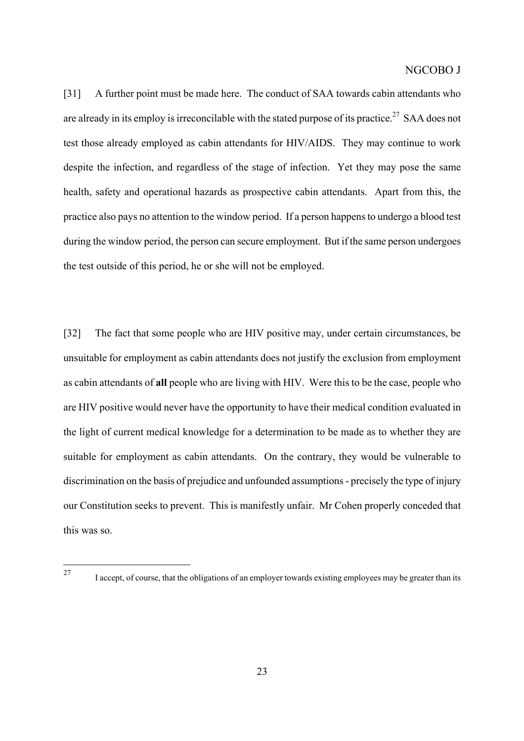[31] A further point must be made here. The conduct of SAA towards cabin attendants who are already in its employ is irreconcilable with the stated purpose of its practice.<sup>27</sup> SAA does not test those already employed as cabin attendants for HIV/AIDS. They may continue to work despite the infection, and regardless of the stage of infection. Yet they may pose the same health, safety and operational hazards as prospective cabin attendants. Apart from this, the practice also pays no attention to the window period. If a person happens to undergo a blood test during the window period, the person can secure employment. But if the same person undergoes the test outside of this period, he or she will not be employed.

[32] The fact that some people who are HIV positive may, under certain circumstances, be unsuitable for employment as cabin attendants does not justify the exclusion from employment as cabin attendants of **all** people who are living with HIV. Were this to be the case, people who are HIV positive would never have the opportunity to have their medical condition evaluated in the light of current medical knowledge for a determination to be made as to whether they are suitable for employment as cabin attendants. On the contrary, they would be vulnerable to discrimination on the basis of prejudice and unfounded assumptions - precisely the type of injury our Constitution seeks to prevent. This is manifestly unfair. Mr Cohen properly conceded that this was so.

<span id="page-22-0"></span> $27$ 

I accept, of course, that the obligations of an employer towards existing employees may be greater than its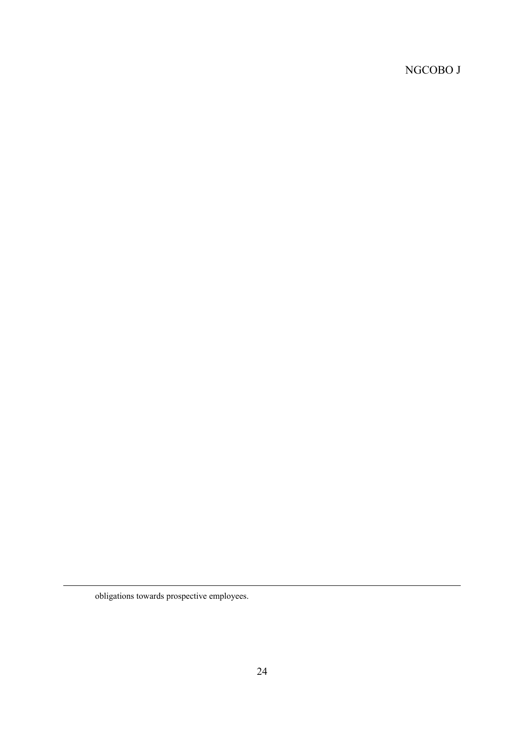obligations towards prospective employees.

 $\overline{a}$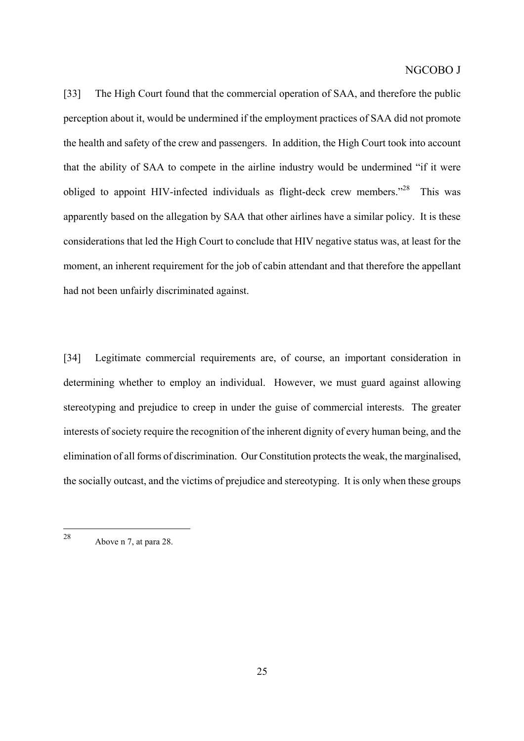[33] The High Court found that the commercial operation of SAA, and therefore the public perception about it, would be undermined if the employment practices of SAA did not promote the health and safety of the crew and passengers. In addition, the High Court took into account that the ability of SAA to compete in the airline industry would be undermined "if it were obliged to appoint HIV-infected individuals as flight-deck crew members."<sup>28</sup> This was apparently based on the allegation by SAA that other airlines have a similar policy. It is these considerations that led the High Court to conclude that HIV negative status was, at least for the moment, an inherent requirement for the job of cabin attendant and that therefore the appellant had not been unfairly discriminated against.

[34] Legitimate commercial requirements are, of course, an important consideration in determining whether to employ an individual. However, we must guard against allowing stereotyping and prejudice to creep in under the guise of commercial interests. The greater interests of society require the recognition of the inherent dignity of every human being, and the elimination of all forms of discrimination. Our Constitution protects the weak, the marginalised, the socially outcast, and the victims of prejudice and stereotyping. It is only when these groups

<span id="page-24-0"></span><sup>28</sup> Above n 7, at para 28.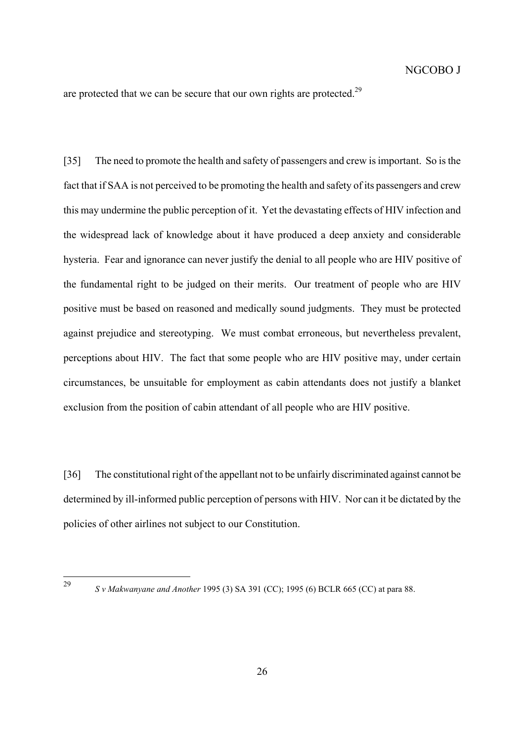are protected that we can be secure that our own rights are protected.<sup>[29](#page-25-0)</sup>

[35] The need to promote the health and safety of passengers and crew is important. So is the fact that if SAA is not perceived to be promoting the health and safety of its passengers and crew this may undermine the public perception of it. Yet the devastating effects of HIV infection and the widespread lack of knowledge about it have produced a deep anxiety and considerable hysteria. Fear and ignorance can never justify the denial to all people who are HIV positive of the fundamental right to be judged on their merits. Our treatment of people who are HIV positive must be based on reasoned and medically sound judgments. They must be protected against prejudice and stereotyping. We must combat erroneous, but nevertheless prevalent, perceptions about HIV. The fact that some people who are HIV positive may, under certain circumstances, be unsuitable for employment as cabin attendants does not justify a blanket exclusion from the position of cabin attendant of all people who are HIV positive.

[36] The constitutional right of the appellant not to be unfairly discriminated against cannot be determined by ill-informed public perception of persons with HIV. Nor can it be dictated by the policies of other airlines not subject to our Constitution.

<span id="page-25-0"></span> $29$ 

<sup>29</sup> *S v Makwanyane and Another* 1995 (3) SA 391 (CC); 1995 (6) BCLR 665 (CC) at para 88.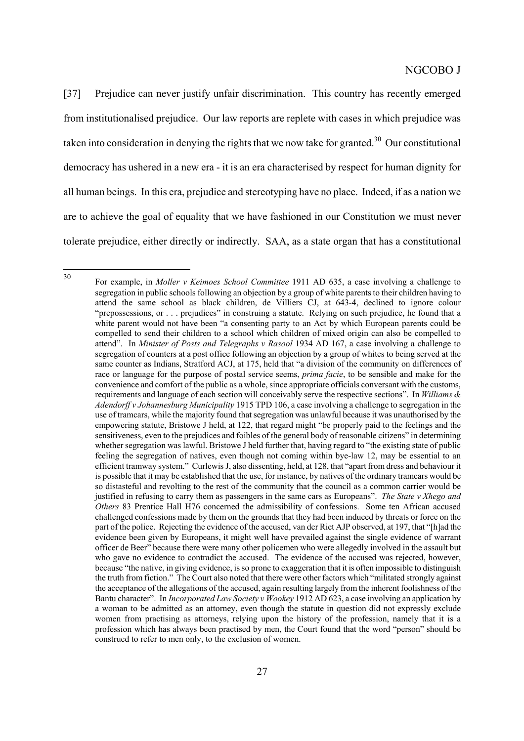[37] Prejudice can never justify unfair discrimination. This country has recently emerged from institutionalised prejudice. Our law reports are replete with cases in which prejudice was taken into consideration in denying the rights that we now take for granted.<sup>30</sup> Our constitutional democracy has ushered in a new era - it is an era characterised by respect for human dignity for all human beings. In this era, prejudice and stereotyping have no place. Indeed, if as a nation we are to achieve the goal of equality that we have fashioned in our Constitution we must never tolerate prejudice, either directly or indirectly. SAA, as a state organ that has a constitutional

<span id="page-26-0"></span>30

<sup>30</sup> For example, in *Moller v Keimoes School Committee* 1911 AD 635, a case involving a challenge to segregation in public schools following an objection by a group of white parents to their children having to attend the same school as black children, de Villiers CJ, at 643-4, declined to ignore colour "prepossessions, or . . . prejudices" in construing a statute. Relying on such prejudice, he found that a white parent would not have been "a consenting party to an Act by which European parents could be compelled to send their children to a school which children of mixed origin can also be compelled to attend". In *Minister of Posts and Telegraphs v Rasool* 1934 AD 167, a case involving a challenge to segregation of counters at a post office following an objection by a group of whites to being served at the same counter as Indians, Stratford ACJ, at 175, held that "a division of the community on differences of race or language for the purpose of postal service seems, *prima facie*, to be sensible and make for the convenience and comfort of the public as a whole, since appropriate officials conversant with the customs, requirements and language of each section will conceivably serve the respective sections". In *Williams & Adendorff v Johannesburg Municipality* 1915 TPD 106, a case involving a challenge to segregation in the use of tramcars, while the majority found that segregation was unlawful because it was unauthorised by the empowering statute, Bristowe J held, at 122, that regard might "be properly paid to the feelings and the sensitiveness, even to the prejudices and foibles of the general body of reasonable citizens" in determining whether segregation was lawful. Bristowe J held further that, having regard to "the existing state of public feeling the segregation of natives, even though not coming within bye-law 12, may be essential to an efficient tramway system." Curlewis J, also dissenting, held, at 128, that "apart from dress and behaviour it is possible that it may be established that the use, for instance, by natives of the ordinary tramcars would be so distasteful and revolting to the rest of the community that the council as a common carrier would be justified in refusing to carry them as passengers in the same cars as Europeans". *The State v Xhego and Others* 83 Prentice Hall H76 concerned the admissibility of confessions. Some ten African accused challenged confessions made by them on the grounds that they had been induced by threats or force on the part of the police. Rejecting the evidence of the accused, van der Riet AJP observed, at 197, that "[h]ad the evidence been given by Europeans, it might well have prevailed against the single evidence of warrant officer de Beer" because there were many other policemen who were allegedly involved in the assault but who gave no evidence to contradict the accused. The evidence of the accused was rejected, however, because "the native, in giving evidence, is so prone to exaggeration that it is often impossible to distinguish the truth from fiction." The Court also noted that there were other factors which "militated strongly against the acceptance of the allegations of the accused, again resulting largely from the inherent foolishness of the Bantu character". In *Incorporated Law Society v Wookey* 1912 AD 623, a case involving an application by a woman to be admitted as an attorney, even though the statute in question did not expressly exclude women from practising as attorneys, relying upon the history of the profession, namely that it is a profession which has always been practised by men, the Court found that the word "person" should be construed to refer to men only, to the exclusion of women.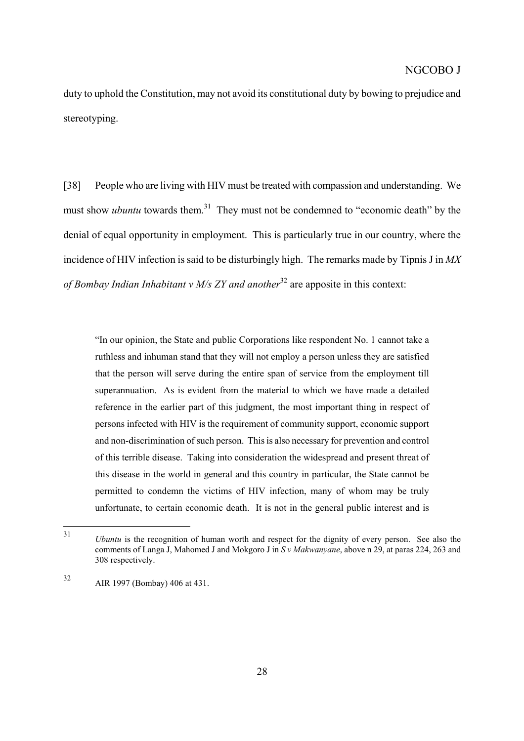duty to uphold the Constitution, may not avoid its constitutional duty by bowing to prejudice and stereotyping.

[38] People who are living with HIV must be treated with compassion and understanding. We must show *ubuntu* towards them.<sup>31</sup> They must not be condemned to "economic death" by the denial of equal opportunity in employment. This is particularly true in our country, where the incidence of HIV infection is said to be disturbingly high. The remarks made by Tipnis J in *MX of Bombay Indian Inhabitant v M/s ZY and another*<sup>32</sup> are apposite in this context:

"In our opinion, the State and public Corporations like respondent No. 1 cannot take a ruthless and inhuman stand that they will not employ a person unless they are satisfied that the person will serve during the entire span of service from the employment till superannuation. As is evident from the material to which we have made a detailed reference in the earlier part of this judgment, the most important thing in respect of persons infected with HIV is the requirement of community support, economic support and non-discrimination of such person. This is also necessary for prevention and control of this terrible disease. Taking into consideration the widespread and present threat of this disease in the world in general and this country in particular, the State cannot be permitted to condemn the victims of HIV infection, many of whom may be truly unfortunate, to certain economic death. It is not in the general public interest and is

<span id="page-27-0"></span> $31$ *Ubuntu* is the recognition of human worth and respect for the dignity of every person. See also the comments of Langa J, Mahomed J and Mokgoro J in *S v Makwanyane*, above n 29, at paras 224, 263 and 308 respectively.

<span id="page-27-1"></span><sup>32</sup> AIR 1997 (Bombay) 406 at 431.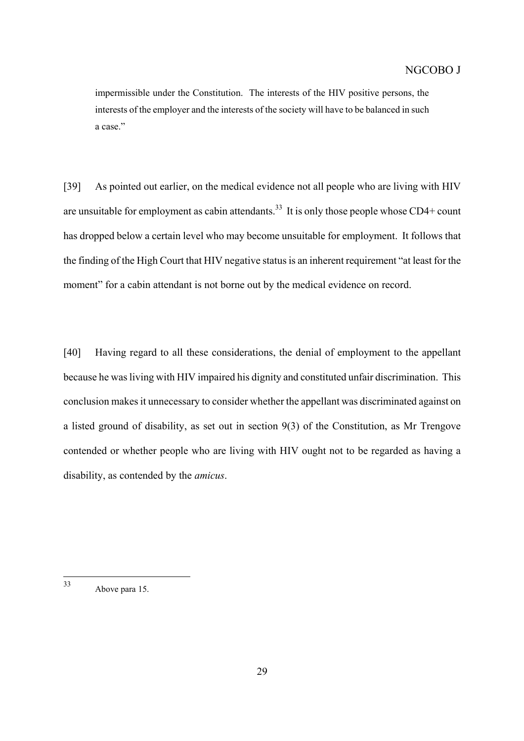impermissible under the Constitution. The interests of the HIV positive persons, the interests of the employer and the interests of the society will have to be balanced in such a case."

[39] As pointed out earlier, on the medical evidence not all people who are living with HIV are unsuitable for employment as cabin attendants.<sup>33</sup> It is only those people whose CD4+ count has dropped below a certain level who may become unsuitable for employment. It follows that the finding of the High Court that HIV negative status is an inherent requirement "at least for the moment" for a cabin attendant is not borne out by the medical evidence on record.

[40] Having regard to all these considerations, the denial of employment to the appellant because he was living with HIV impaired his dignity and constituted unfair discrimination. This conclusion makes it unnecessary to consider whether the appellant was discriminated against on a listed ground of disability, as set out in section 9(3) of the Constitution, as Mr Trengove contended or whether people who are living with HIV ought not to be regarded as having a disability, as contended by the *amicus*.

<span id="page-28-0"></span> $33$ Above para 15.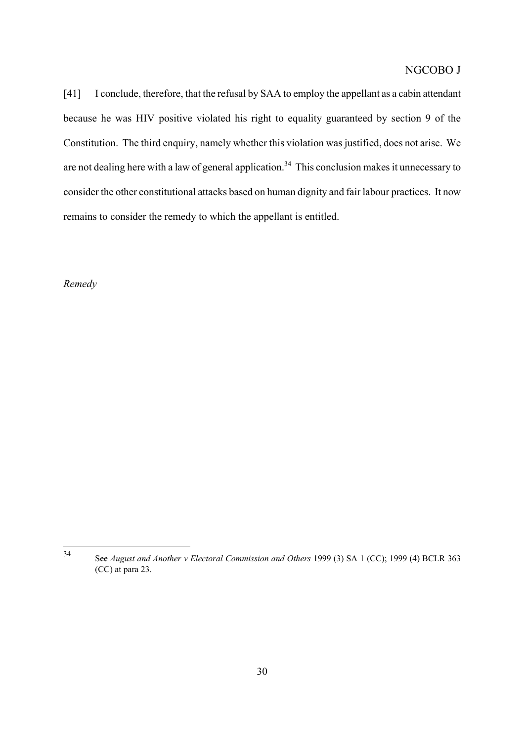[41] I conclude, therefore, that the refusal by SAA to employ the appellant as a cabin attendant because he was HIV positive violated his right to equality guaranteed by section 9 of the Constitution. The third enquiry, namely whether this violation was justified, does not arise. We are not dealing here with a law of general application.<sup>34</sup> This conclusion makes it unnecessary to consider the other constitutional attacks based on human dignity and fair labour practices. It now remains to consider the remedy to which the appellant is entitled.

*Remedy*

<span id="page-29-0"></span><sup>34</sup> <sup>34</sup> See *August and Another v Electoral Commission and Others* 1999 (3) SA 1 (CC); 1999 (4) BCLR 363 (CC) at para 23.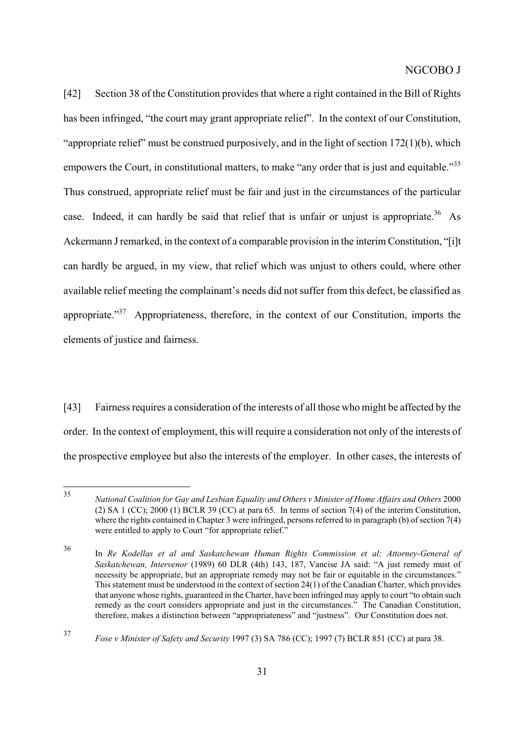[42] Section 38 of the Constitution provides that where a right contained in the Bill of Rights has been infringed, "the court may grant appropriate relief". In the context of our Constitution, "appropriate relief" must be construed purposively, and in the light of section 172(1)(b), which empowers the Court, in constitutional matters, to make "any order that is just and equitable."<sup>35</sup> Thus construed, appropriate relief must be fair and just in the circumstances of the particular case. Indeed, it can hardly be said that relief that is unfair or unjust is appropriate.<sup>36</sup> As Ackermann J remarked, in the context of a comparable provision in the interim Constitution, "[i]t can hardly be argued, in my view, that relief which was unjust to others could, where other available relief meeting the complainant's needs did not suffer from this defect, be classified as appropriate."<sup>37</sup> Appropriateness, therefore, in the context of our Constitution, imports the elements of justice and fairness.

[43] Fairness requires a consideration of the interests of all those who might be affected by the order. In the context of employment, this will require a consideration not only of the interests of the prospective employee but also the interests of the employer. In other cases, the interests of

<span id="page-30-0"></span><sup>35</sup> <sup>35</sup> *National Coalition for Gay and Lesbian Equality and Others v Minister of Home Affairs and Others*<sup>2000</sup> (2) SA 1 (CC); 2000 (1) BCLR 39 (CC) at para 65. In terms of section 7(4) of the interim Constitution, where the rights contained in Chapter 3 were infringed, persons referred to in paragraph (b) of section 7(4) were entitled to apply to Court "for appropriate relief."

<span id="page-30-1"></span><sup>36</sup> In *Re Kodellas et al and Saskatchewan Human Rights Commission et al; Attorney-General of Saskatchewan, Intervenor* (1989) 60 DLR (4th) 143, 187, Vancise JA said: "A just remedy must of necessity be appropriate, but an appropriate remedy may not be fair or equitable in the circumstances." This statement must be understood in the context of section 24(1) of the Canadian Charter, which provides that anyone whose rights, guaranteed in the Charter, have been infringed may apply to court "to obtain such remedy as the court considers appropriate and just in the circumstances." The Canadian Constitution, therefore, makes a distinction between "appropriateness" and "justness". Our Constitution does not.

<span id="page-30-2"></span><sup>37</sup> *Fose v Minister of Safety and Security* 1997 (3) SA 786 (CC); 1997 (7) BCLR 851 (CC) at para 38.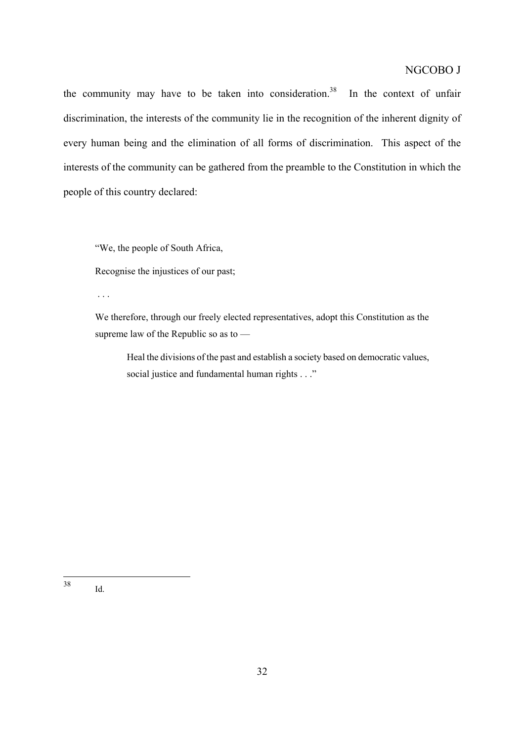the community may have to be taken into consideration.<sup>38</sup> In the context of unfair discrimination, the interests of the community lie in the recognition of the inherent dignity of every human being and the elimination of all forms of discrimination. This aspect of the interests of the community can be gathered from the preamble to the Constitution in which the people of this country declared:

"We, the people of South Africa,

Recognise the injustices of our past;

. . .

We therefore, through our freely elected representatives, adopt this Constitution as the supreme law of the Republic so as to —

Heal the divisions of the past and establish a society based on democratic values, social justice and fundamental human rights . . ."

<span id="page-31-0"></span>38 Id.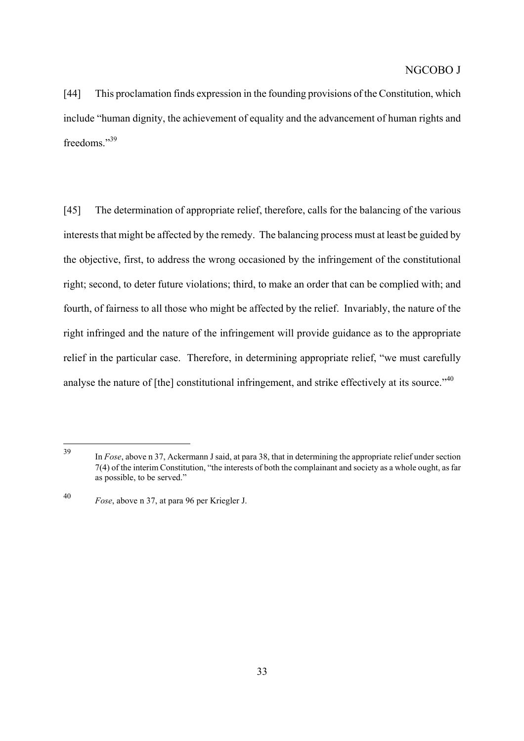[44] This proclamation finds expression in the founding provisions of the Constitution, which include "human dignity, the achievement of equality and the advancement of human rights and freedoms."[39](#page-32-0)

[45] The determination of appropriate relief, therefore, calls for the balancing of the various interests that might be affected by the remedy. The balancing process must at least be guided by the objective, first, to address the wrong occasioned by the infringement of the constitutional right; second, to deter future violations; third, to make an order that can be complied with; and fourth, of fairness to all those who might be affected by the relief. Invariably, the nature of the right infringed and the nature of the infringement will provide guidance as to the appropriate relief in the particular case. Therefore, in determining appropriate relief, "we must carefully analyse the nature of [the] constitutional infringement, and strike effectively at its source."<sup>40</sup>

<span id="page-32-0"></span><sup>39</sup> In *Fose*, above n 37, Ackermann J said, at para 38, that in determining the appropriate relief under section 7(4) of the interim Constitution, "the interests of both the complainant and society as a whole ought, as far as possible, to be served."

<span id="page-32-1"></span><sup>40</sup> *Fose*, above n 37, at para 96 per Kriegler J.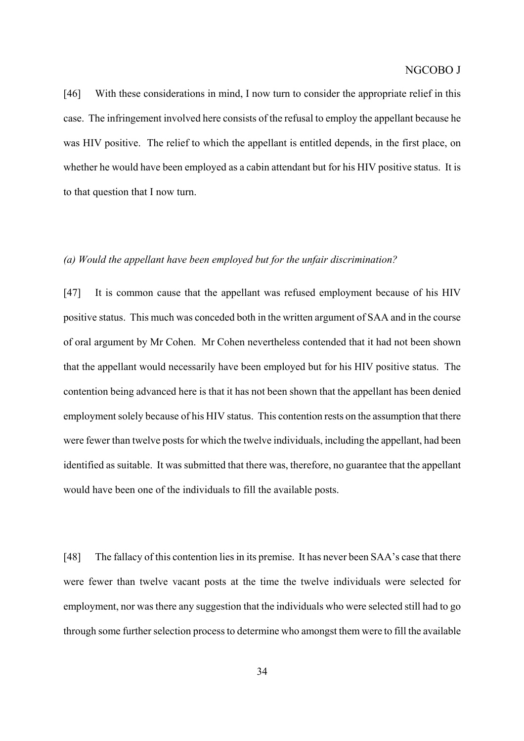[46] With these considerations in mind, I now turn to consider the appropriate relief in this case. The infringement involved here consists of the refusal to employ the appellant because he was HIV positive. The relief to which the appellant is entitled depends, in the first place, on whether he would have been employed as a cabin attendant but for his HIV positive status. It is to that question that I now turn.

#### *(a) Would the appellant have been employed but for the unfair discrimination?*

[47] It is common cause that the appellant was refused employment because of his HIV positive status. This much was conceded both in the written argument of SAA and in the course of oral argument by Mr Cohen. Mr Cohen nevertheless contended that it had not been shown that the appellant would necessarily have been employed but for his HIV positive status. The contention being advanced here is that it has not been shown that the appellant has been denied employment solely because of his HIV status. This contention rests on the assumption that there were fewer than twelve posts for which the twelve individuals, including the appellant, had been identified as suitable. It was submitted that there was, therefore, no guarantee that the appellant would have been one of the individuals to fill the available posts.

[48] The fallacy of this contention lies in its premise. It has never been SAA's case that there were fewer than twelve vacant posts at the time the twelve individuals were selected for employment, nor was there any suggestion that the individuals who were selected still had to go through some further selection process to determine who amongst them were to fill the available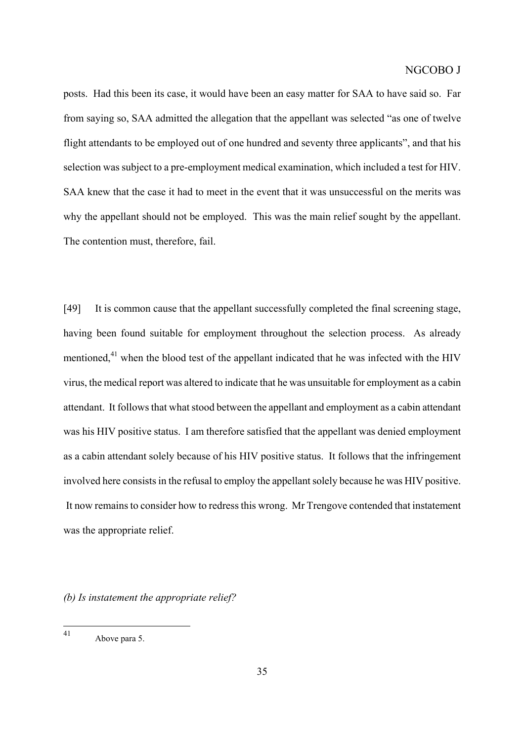posts. Had this been its case, it would have been an easy matter for SAA to have said so. Far from saying so, SAA admitted the allegation that the appellant was selected "as one of twelve flight attendants to be employed out of one hundred and seventy three applicants", and that his selection was subject to a pre-employment medical examination, which included a test for HIV. SAA knew that the case it had to meet in the event that it was unsuccessful on the merits was why the appellant should not be employed. This was the main relief sought by the appellant. The contention must, therefore, fail.

[49] It is common cause that the appellant successfully completed the final screening stage, having been found suitable for employment throughout the selection process. As already mentioned, $41$  when the blood test of the appellant indicated that he was infected with the HIV virus, the medical report was altered to indicate that he was unsuitable for employment as a cabin attendant. It follows that what stood between the appellant and employment as a cabin attendant was his HIV positive status. I am therefore satisfied that the appellant was denied employment as a cabin attendant solely because of his HIV positive status. It follows that the infringement involved here consists in the refusal to employ the appellant solely because he was HIV positive. It now remains to consider how to redress this wrong. Mr Trengove contended that instatement was the appropriate relief.

*(b) Is instatement the appropriate relief?*

<span id="page-34-0"></span> $41$ Above para 5.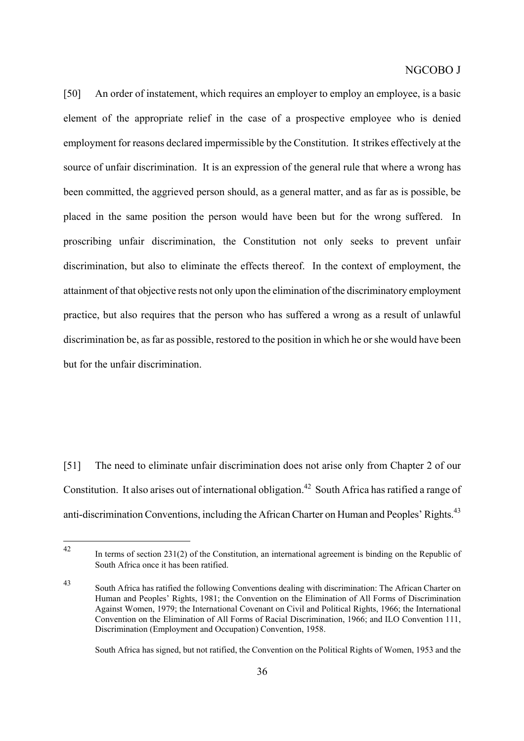[50] An order of instatement, which requires an employer to employ an employee, is a basic element of the appropriate relief in the case of a prospective employee who is denied employment for reasons declared impermissible by the Constitution. It strikes effectively at the source of unfair discrimination. It is an expression of the general rule that where a wrong has been committed, the aggrieved person should, as a general matter, and as far as is possible, be placed in the same position the person would have been but for the wrong suffered. In proscribing unfair discrimination, the Constitution not only seeks to prevent unfair discrimination, but also to eliminate the effects thereof. In the context of employment, the attainment of that objective rests not only upon the elimination of the discriminatory employment practice, but also requires that the person who has suffered a wrong as a result of unlawful discrimination be, as far as possible, restored to the position in which he or she would have been but for the unfair discrimination.

[51] The need to eliminate unfair discrimination does not arise only from Chapter 2 of our Constitution. It also arises out of international obligation.<sup>42</sup> South Africa has ratified a range of anti-discrimination Conventions, including the African Charter on Human and Peoples' Rights.<sup>43</sup>

South Africa has signed, but not ratified, the Convention on the Political Rights of Women, 1953 and the

<span id="page-35-0"></span><sup>42</sup> In terms of section 231(2) of the Constitution, an international agreement is binding on the Republic of South Africa once it has been ratified.

<span id="page-35-1"></span><sup>43</sup> South Africa has ratified the following Conventions dealing with discrimination: The African Charter on Human and Peoples' Rights, 1981; the Convention on the Elimination of All Forms of Discrimination Against Women, 1979; the International Covenant on Civil and Political Rights, 1966; the International Convention on the Elimination of All Forms of Racial Discrimination, 1966; and ILO Convention 111, Discrimination (Employment and Occupation) Convention, 1958.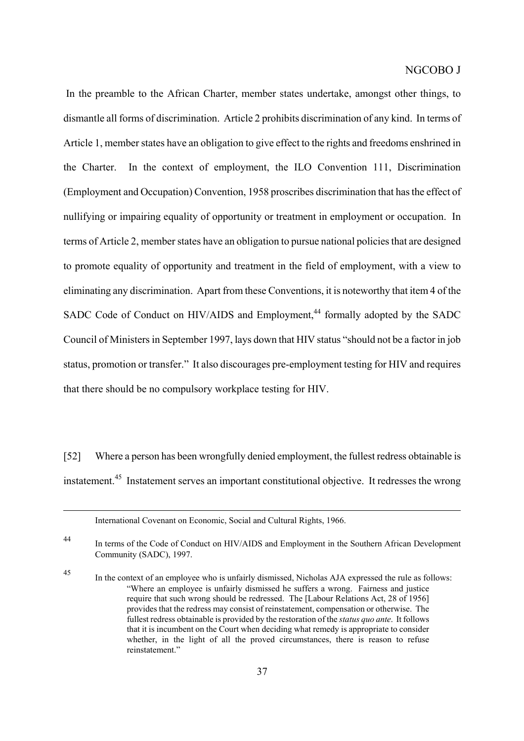In the preamble to the African Charter, member states undertake, amongst other things, to dismantle all forms of discrimination. Article 2 prohibits discrimination of any kind. In terms of Article 1, member states have an obligation to give effect to the rights and freedoms enshrined in the Charter. In the context of employment, the ILO Convention 111, Discrimination (Employment and Occupation) Convention, 1958 proscribes discrimination that has the effect of nullifying or impairing equality of opportunity or treatment in employment or occupation. In terms of Article 2, member states have an obligation to pursue national policies that are designed to promote equality of opportunity and treatment in the field of employment, with a view to eliminating any discrimination. Apart from these Conventions, it is noteworthy that item 4 of the SADC Code of Conduct on HIV/AIDS and Employment.<sup>44</sup> formally adopted by the SADC Council of Ministers in September 1997, lays down that HIV status "should not be a factor in job status, promotion or transfer." It also discourages pre-employment testing for HIV and requires that there should be no compulsory workplace testing for HIV.

[52] Where a person has been wrongfully denied employment, the fullest redress obtainable is instatement[.45](#page-36-1) Instatement serves an important constitutional objective. It redresses the wrong

 $\overline{a}$ 

<span id="page-36-0"></span><sup>44</sup> In terms of the Code of Conduct on HIV/AIDS and Employment in the Southern African Development Community (SADC), 1997.

International Covenant on Economic, Social and Cultural Rights, 1966.

<span id="page-36-1"></span><sup>45</sup> In the context of an employee who is unfairly dismissed, Nicholas AJA expressed the rule as follows: "Where an employee is unfairly dismissed he suffers a wrong. Fairness and justice require that such wrong should be redressed. The [Labour Relations Act, 28 of 1956] provides that the redress may consist of reinstatement, compensation or otherwise. The fullest redress obtainable is provided by the restoration of the *status quo ante*. It follows that it is incumbent on the Court when deciding what remedy is appropriate to consider whether, in the light of all the proved circumstances, there is reason to refuse reinstatement."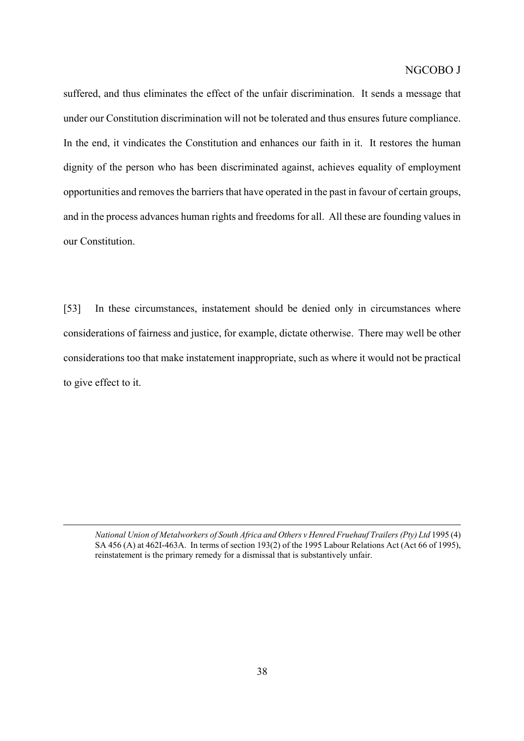suffered, and thus eliminates the effect of the unfair discrimination. It sends a message that under our Constitution discrimination will not be tolerated and thus ensures future compliance. In the end, it vindicates the Constitution and enhances our faith in it. It restores the human dignity of the person who has been discriminated against, achieves equality of employment opportunities and removes the barriers that have operated in the past in favour of certain groups, and in the process advances human rights and freedoms for all. All these are founding values in our Constitution.

[53] In these circumstances, instatement should be denied only in circumstances where considerations of fairness and justice, for example, dictate otherwise. There may well be other considerations too that make instatement inappropriate, such as where it would not be practical to give effect to it.

*National Union of Metalworkers of South Africa and Others v Henred Fruehauf Trailers (Pty) Ltd* 1995 (4) SA 456 (A) at 462I-463A. In terms of section 193(2) of the 1995 Labour Relations Act (Act 66 of 1995), reinstatement is the primary remedy for a dismissal that is substantively unfair.

 $\overline{a}$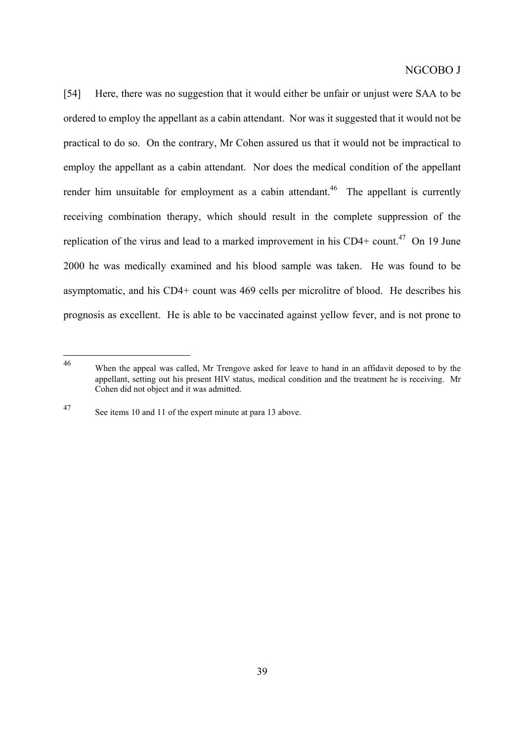[54] Here, there was no suggestion that it would either be unfair or unjust were SAA to be ordered to employ the appellant as a cabin attendant. Nor was it suggested that it would not be practical to do so. On the contrary, Mr Cohen assured us that it would not be impractical to employ the appellant as a cabin attendant. Nor does the medical condition of the appellant render him unsuitable for employment as a cabin attendant.<sup>46</sup> The appellant is currently receiving combination therapy, which should result in the complete suppression of the replication of the virus and lead to a marked improvement in his CD4+ count.<sup>47</sup> On 19 June 2000 he was medically examined and his blood sample was taken. He was found to be asymptomatic, and his CD4+ count was 469 cells per microlitre of blood. He describes his prognosis as excellent. He is able to be vaccinated against yellow fever, and is not prone to

<span id="page-38-0"></span><sup>46</sup> When the appeal was called, Mr Trengove asked for leave to hand in an affidavit deposed to by the appellant, setting out his present HIV status, medical condition and the treatment he is receiving. Mr Cohen did not object and it was admitted.

<span id="page-38-1"></span><sup>47</sup> See items 10 and 11 of the expert minute at para 13 above.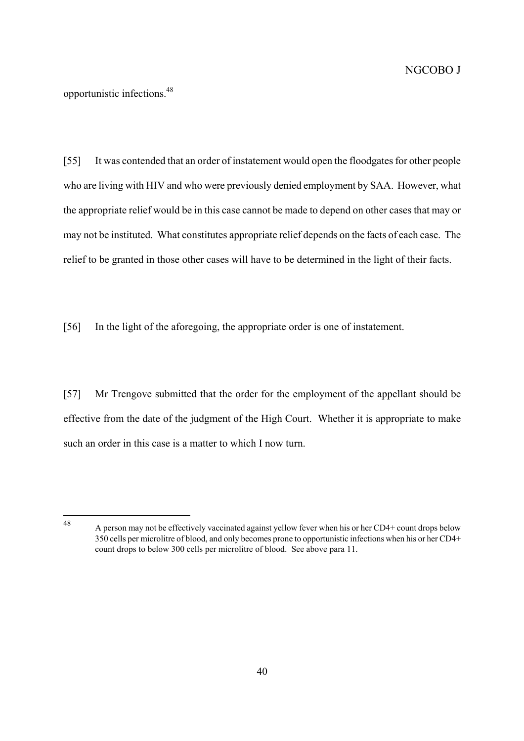opportunistic infections.[48](#page-39-0)

[55] It was contended that an order of instatement would open the floodgates for other people who are living with HIV and who were previously denied employment by SAA. However, what the appropriate relief would be in this case cannot be made to depend on other cases that may or may not be instituted. What constitutes appropriate relief depends on the facts of each case. The relief to be granted in those other cases will have to be determined in the light of their facts.

[56] In the light of the aforegoing, the appropriate order is one of instatement.

[57] Mr Trengove submitted that the order for the employment of the appellant should be effective from the date of the judgment of the High Court. Whether it is appropriate to make such an order in this case is a matter to which I now turn.

<span id="page-39-0"></span>48

<sup>48</sup> A person may not be effectively vaccinated against yellow fever when his or her CD4+ count drops below 350 cells per microlitre of blood, and only becomes prone to opportunistic infections when his or her CD4+ count drops to below 300 cells per microlitre of blood. See above para 11.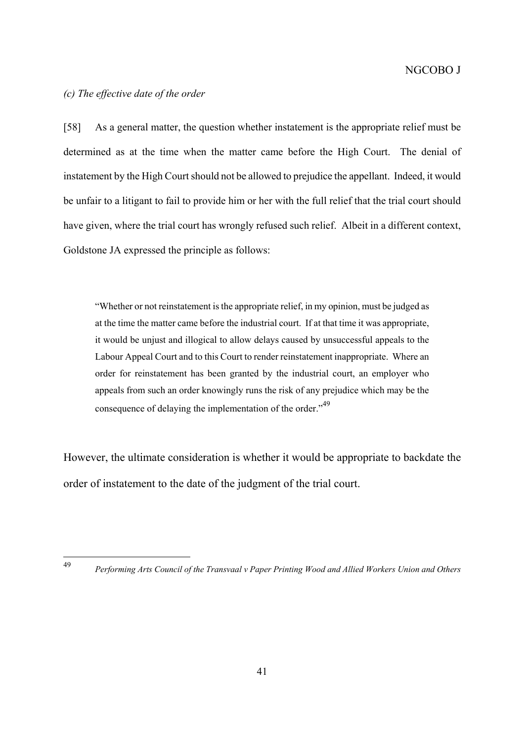### *(c) The effective date of the order*

[58] As a general matter, the question whether instatement is the appropriate relief must be determined as at the time when the matter came before the High Court. The denial of instatement by the High Court should not be allowed to prejudice the appellant. Indeed, it would be unfair to a litigant to fail to provide him or her with the full relief that the trial court should have given, where the trial court has wrongly refused such relief. Albeit in a different context, Goldstone JA expressed the principle as follows:

"Whether or not reinstatement is the appropriate relief, in my opinion, must be judged as at the time the matter came before the industrial court. If at that time it was appropriate, it would be unjust and illogical to allow delays caused by unsuccessful appeals to the Labour Appeal Court and to this Court to render reinstatement inappropriate. Where an order for reinstatement has been granted by the industrial court, an employer who appeals from such an order knowingly runs the risk of any prejudice which may be the consequence of delaying the implementation of the order."<sup>49</sup>

However, the ultimate consideration is whether it would be appropriate to backdate the order of instatement to the date of the judgment of the trial court.

<span id="page-40-0"></span>49

<sup>49</sup> *Performing Arts Council of the Transvaal v Paper Printing Wood and Allied Workers Union and Others*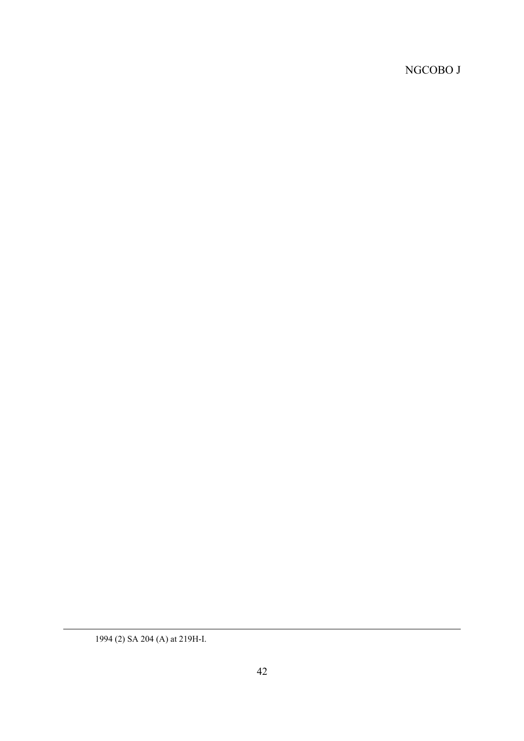<sup>1994 (2)</sup> SA 204 (A) at 219H-I.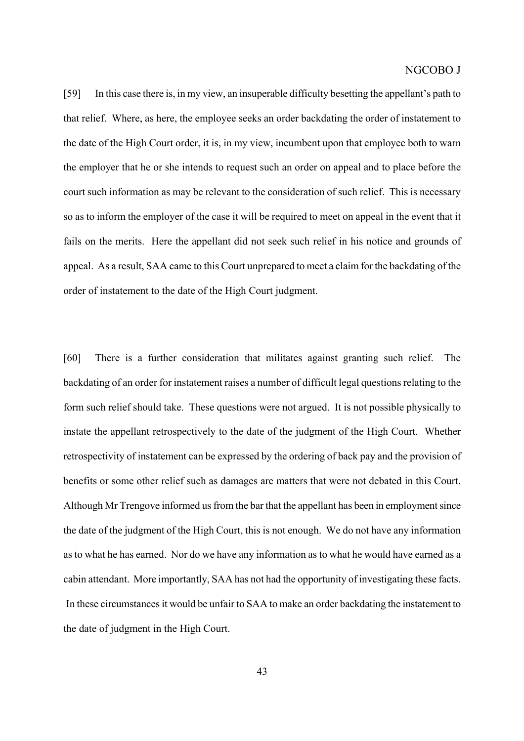[59] In this case there is, in my view, an insuperable difficulty besetting the appellant's path to that relief. Where, as here, the employee seeks an order backdating the order of instatement to the date of the High Court order, it is, in my view, incumbent upon that employee both to warn the employer that he or she intends to request such an order on appeal and to place before the court such information as may be relevant to the consideration of such relief. This is necessary so as to inform the employer of the case it will be required to meet on appeal in the event that it fails on the merits. Here the appellant did not seek such relief in his notice and grounds of appeal. As a result, SAA came to this Court unprepared to meet a claim for the backdating of the order of instatement to the date of the High Court judgment.

[60] There is a further consideration that militates against granting such relief. The backdating of an order for instatement raises a number of difficult legal questions relating to the form such relief should take. These questions were not argued. It is not possible physically to instate the appellant retrospectively to the date of the judgment of the High Court. Whether retrospectivity of instatement can be expressed by the ordering of back pay and the provision of benefits or some other relief such as damages are matters that were not debated in this Court. Although Mr Trengove informed us from the bar that the appellant has been in employment since the date of the judgment of the High Court, this is not enough. We do not have any information as to what he has earned. Nor do we have any information as to what he would have earned as a cabin attendant. More importantly, SAA has not had the opportunity of investigating these facts. In these circumstances it would be unfair to SAA to make an order backdating the instatement to the date of judgment in the High Court.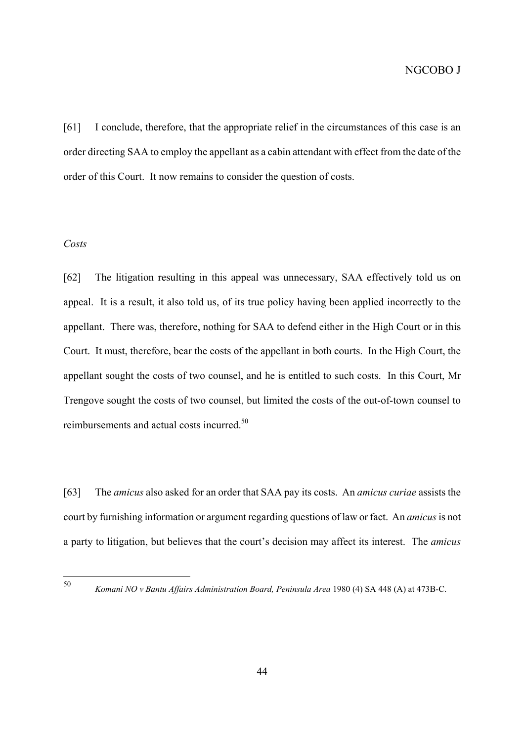[61] I conclude, therefore, that the appropriate relief in the circumstances of this case is an order directing SAA to employ the appellant as a cabin attendant with effect from the date of the order of this Court. It now remains to consider the question of costs.

## *Costs*

[62] The litigation resulting in this appeal was unnecessary, SAA effectively told us on appeal. It is a result, it also told us, of its true policy having been applied incorrectly to the appellant. There was, therefore, nothing for SAA to defend either in the High Court or in this Court. It must, therefore, bear the costs of the appellant in both courts. In the High Court, the appellant sought the costs of two counsel, and he is entitled to such costs. In this Court, Mr Trengove sought the costs of two counsel, but limited the costs of the out-of-town counsel to reimbursements and actual costs incurred.[50](#page-43-0) 

[63] The *amicus* also asked for an order that SAA pay its costs. An *amicus curiae* assists the court by furnishing information or argument regarding questions of law or fact. An *amicus* is not a party to litigation, but believes that the court's decision may affect its interest. The *amicus*

<span id="page-43-0"></span> $50$ 

<sup>50</sup> *Komani NO v Bantu Affairs Administration Board, Peninsula Area* 1980 (4) SA 448 (A) at 473B-C.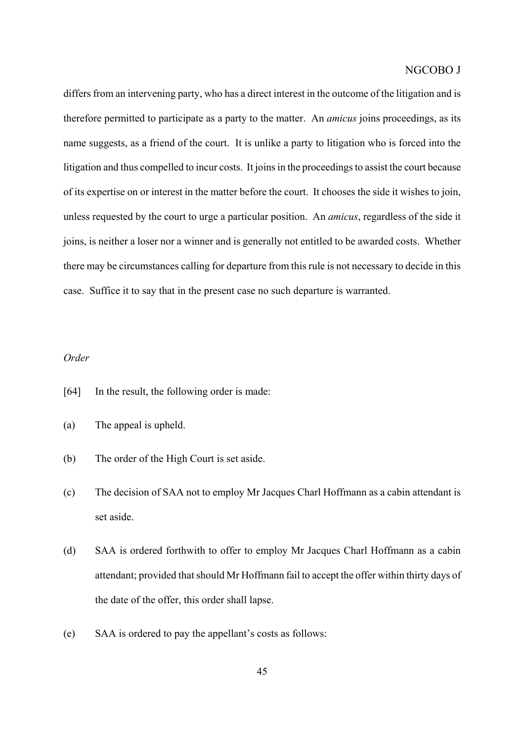differs from an intervening party, who has a direct interest in the outcome of the litigation and is therefore permitted to participate as a party to the matter. An *amicus* joins proceedings, as its name suggests, as a friend of the court. It is unlike a party to litigation who is forced into the litigation and thus compelled to incur costs. It joins in the proceedings to assist the court because of its expertise on or interest in the matter before the court. It chooses the side it wishes to join, unless requested by the court to urge a particular position. An *amicus*, regardless of the side it joins, is neither a loser nor a winner and is generally not entitled to be awarded costs. Whether there may be circumstances calling for departure from this rule is not necessary to decide in this case. Suffice it to say that in the present case no such departure is warranted.

#### *Order*

- [64] In the result, the following order is made:
- (a) The appeal is upheld.
- (b) The order of the High Court is set aside.
- (c) The decision of SAA not to employ Mr Jacques Charl Hoffmann as a cabin attendant is set aside.
- (d) SAA is ordered forthwith to offer to employ Mr Jacques Charl Hoffmann as a cabin attendant; provided that should Mr Hoffmann fail to accept the offer within thirty days of the date of the offer, this order shall lapse.
- (e) SAA is ordered to pay the appellant's costs as follows: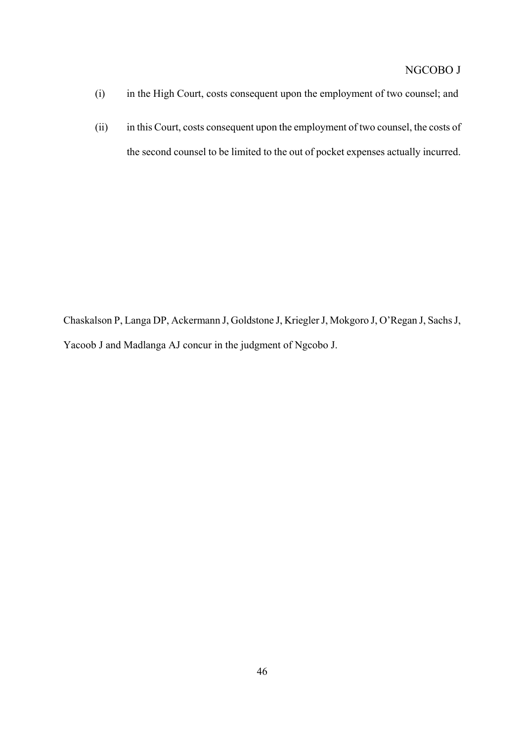- (i) in the High Court, costs consequent upon the employment of two counsel; and
- (ii) in this Court, costs consequent upon the employment of two counsel, the costs of the second counsel to be limited to the out of pocket expenses actually incurred.

Chaskalson P, Langa DP, Ackermann J, Goldstone J, Kriegler J, Mokgoro J, O'Regan J, Sachs J, Yacoob J and Madlanga AJ concur in the judgment of Ngcobo J.